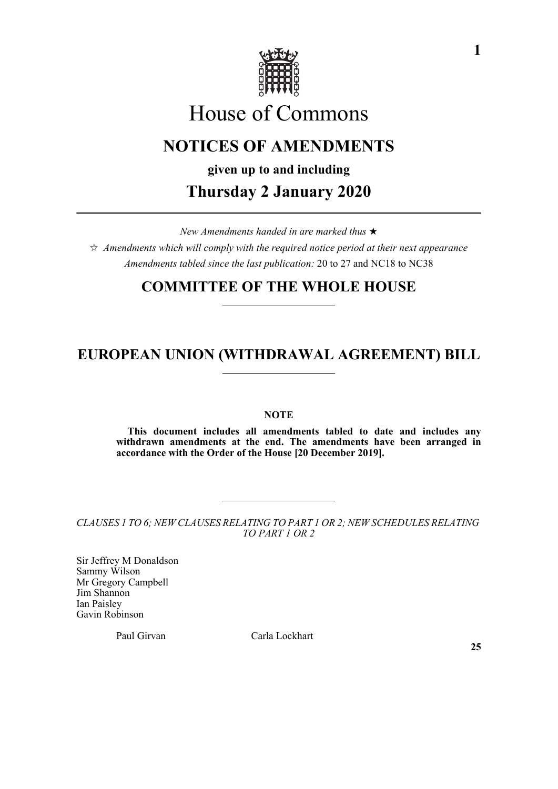

# House of Commons

# **NOTICES OF AMENDMENTS**

**given up to and including**

# **Thursday 2 January 2020**

*New Amendments handed in are marked thus* 

 $\hat{\mathcal{A}}$  Amendments which will comply with the required notice period at their next appearance *Amendments tabled since the last publication:* 20 to 27 and NC18 to NC38

# **COMMITTEE OF THE WHOLE HOUSE**

# **EUROPEAN UNION (WITHDRAWAL AGREEMENT) BILL**

**NOTE**

**This document includes all amendments tabled to date and includes any withdrawn amendments at the end. The amendments have been arranged in accordance with the Order of the House [20 December 2019].**

*CLAUSES 1 TO 6; NEW CLAUSES RELATING TO PART 1 OR 2; NEW SCHEDULES RELATING TO PART 1 OR 2*

Sir Jeffrey M Donaldson Sammy Wilson Mr Gregory Campbell Jim Shannon Ian Paisley Gavin Robinson

Paul Girvan Carla Lockhart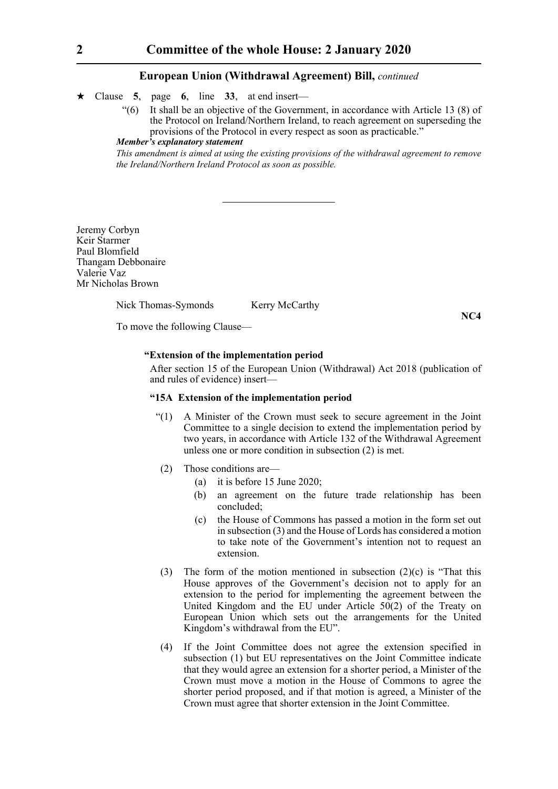- $\star$  Clause 5, page 6, line 33, at end insert—
	- "(6) It shall be an objective of the Government, in accordance with Article 13 (8) of the Protocol on Ireland/Northern Ireland, to reach agreement on superseding the provisions of the Protocol in every respect as soon as practicable."

## *Member's explanatory statement*

*This amendment is aimed at using the existing provisions of the withdrawal agreement to remove the Ireland/Northern Ireland Protocol as soon as possible.*

Jeremy Corbyn Keir Starmer Paul Blomfield Thangam Debbonaire Valerie Vaz Mr Nicholas Brown

Nick Thomas-Symonds Kerry McCarthy

**NC4**

To move the following Clause—

#### **"Extension of the implementation period**

 After section 15 of the European Union (Withdrawal) Act 2018 (publication of and rules of evidence) insert—

## **"15A Extension of the implementation period**

- "(1) A Minister of the Crown must seek to secure agreement in the Joint Committee to a single decision to extend the implementation period by two years, in accordance with Article 132 of the Withdrawal Agreement unless one or more condition in subsection (2) is met.
- (2) Those conditions are—
	- (a) it is before 15 June 2020;
	- (b) an agreement on the future trade relationship has been concluded;
	- (c) the House of Commons has passed a motion in the form set out in subsection (3) and the House of Lords has considered a motion to take note of the Government's intention not to request an extension.
- (3) The form of the motion mentioned in subsection  $(2)(c)$  is "That this House approves of the Government's decision not to apply for an extension to the period for implementing the agreement between the United Kingdom and the EU under Article 50(2) of the Treaty on European Union which sets out the arrangements for the United Kingdom's withdrawal from the EU".
- (4) If the Joint Committee does not agree the extension specified in subsection (1) but EU representatives on the Joint Committee indicate that they would agree an extension for a shorter period, a Minister of the Crown must move a motion in the House of Commons to agree the shorter period proposed, and if that motion is agreed, a Minister of the Crown must agree that shorter extension in the Joint Committee.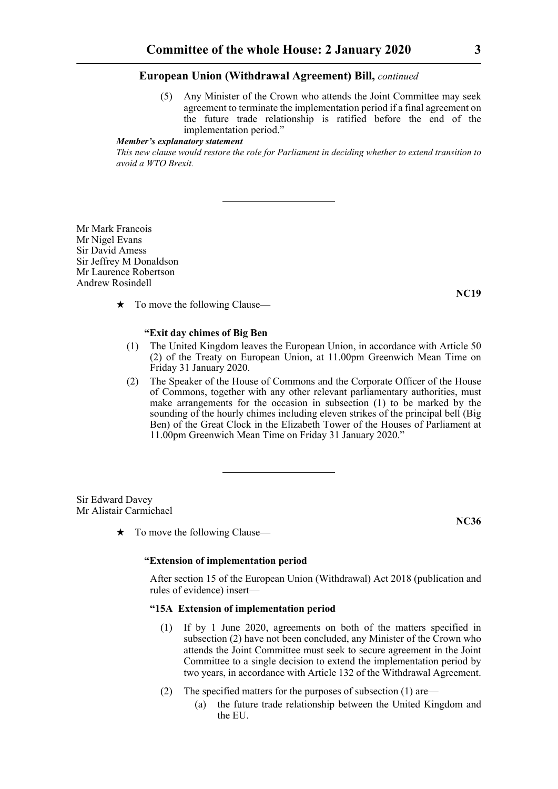(5) Any Minister of the Crown who attends the Joint Committee may seek agreement to terminate the implementation period if a final agreement on the future trade relationship is ratified before the end of the implementation period."

# *Member's explanatory statement*

*This new clause would restore the role for Parliament in deciding whether to extend transition to avoid a WTO Brexit.*

Mr Mark Francois Mr Nigel Evans Sir David Amess Sir Jeffrey M Donaldson Mr Laurence Robertson Andrew Rosindell

**NC19**

 $\star$  To move the following Clause—

#### **"Exit day chimes of Big Ben**

- (1) The United Kingdom leaves the European Union, in accordance with Article 50 (2) of the Treaty on European Union, at 11.00pm Greenwich Mean Time on Friday 31 January 2020.
- (2) The Speaker of the House of Commons and the Corporate Officer of the House of Commons, together with any other relevant parliamentary authorities, must make arrangements for the occasion in subsection (1) to be marked by the sounding of the hourly chimes including eleven strikes of the principal bell (Big Ben) of the Great Clock in the Elizabeth Tower of the Houses of Parliament at 11.00pm Greenwich Mean Time on Friday 31 January 2020."

Sir Edward Davey Mr Alistair Carmichael

 $\star$  To move the following Clause—

**NC36**

#### **"Extension of implementation period**

After section 15 of the European Union (Withdrawal) Act 2018 (publication and rules of evidence) insert—

# **"15A Extension of implementation period**

- (1) If by 1 June 2020, agreements on both of the matters specified in subsection (2) have not been concluded, any Minister of the Crown who attends the Joint Committee must seek to secure agreement in the Joint Committee to a single decision to extend the implementation period by two years, in accordance with Article 132 of the Withdrawal Agreement.
- (2) The specified matters for the purposes of subsection (1) are—
	- (a) the future trade relationship between the United Kingdom and the EU.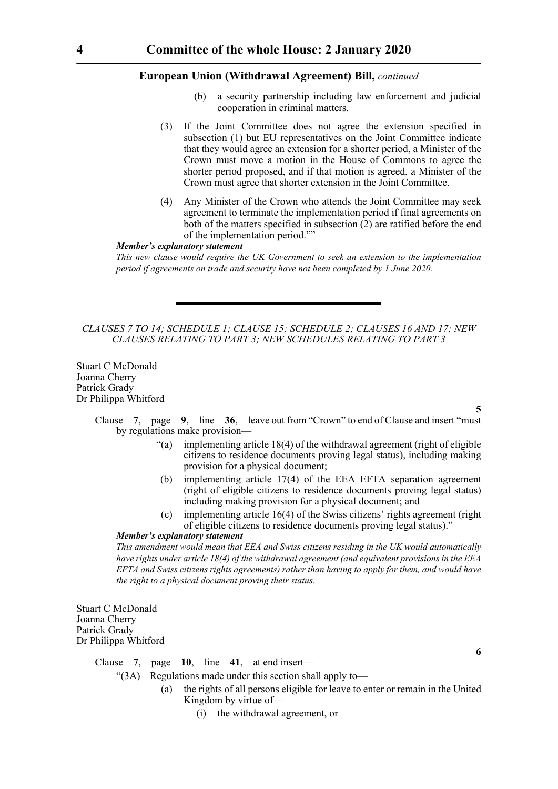- (b) a security partnership including law enforcement and judicial cooperation in criminal matters.
- (3) If the Joint Committee does not agree the extension specified in subsection (1) but EU representatives on the Joint Committee indicate that they would agree an extension for a shorter period, a Minister of the Crown must move a motion in the House of Commons to agree the shorter period proposed, and if that motion is agreed, a Minister of the Crown must agree that shorter extension in the Joint Committee.
- (4) Any Minister of the Crown who attends the Joint Committee may seek agreement to terminate the implementation period if final agreements on both of the matters specified in subsection (2) are ratified before the end of the implementation period.""

# *Member's explanatory statement*

*This new clause would require the UK Government to seek an extension to the implementation period if agreements on trade and security have not been completed by 1 June 2020.*

### *CLAUSES 7 TO 14; SCHEDULE 1; CLAUSE 15; SCHEDULE 2; CLAUSES 16 AND 17; NEW CLAUSES RELATING TO PART 3; NEW SCHEDULES RELATING TO PART 3*

Stuart C McDonald Joanna Cherry Patrick Grady Dr Philippa Whitford

**5**

**6**

Clause **7**, page **9**, line **36**, leave out from "Crown" to end of Clause and insert "must by regulations make provision—

- "(a) implementing article  $18(4)$  of the withdrawal agreement (right of eligible citizens to residence documents proving legal status), including making provision for a physical document;
- (b) implementing article 17(4) of the EEA EFTA separation agreement (right of eligible citizens to residence documents proving legal status) including making provision for a physical document; and
- (c) implementing article 16(4) of the Swiss citizens' rights agreement (right of eligible citizens to residence documents proving legal status)."

#### *Member's explanatory statement*

*This amendment would mean that EEA and Swiss citizens residing in the UK would automatically have rights under article 18(4) of the withdrawal agreement (and equivalent provisions in the EEA EFTA and Swiss citizens rights agreements) rather than having to apply for them, and would have the right to a physical document proving their status.*

Stuart C McDonald Joanna Cherry Patrick Grady Dr Philippa Whitford

> Clause **7**, page **10**, line **41**, at end insert— "(3A) Regulations made under this section shall apply to— (a) the rights of all persons eligible for leave to enter or remain in the United Kingdom by virtue of—

> > (i) the withdrawal agreement, or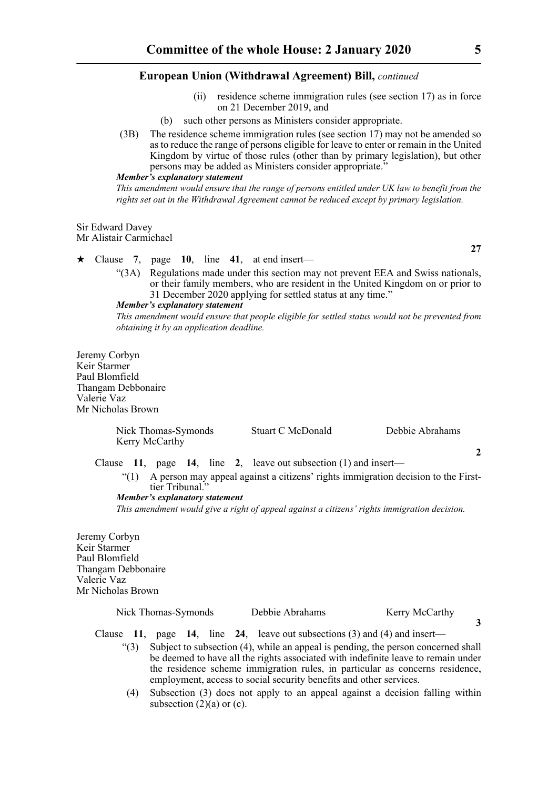- (ii) residence scheme immigration rules (see section 17) as in force on 21 December 2019, and
- (b) such other persons as Ministers consider appropriate.
- (3B) The residence scheme immigration rules (see section 17) may not be amended so as to reduce the range of persons eligible for leave to enter or remain in the United Kingdom by virtue of those rules (other than by primary legislation), but other persons may be added as Ministers consider appropriate."

#### *Member's explanatory statement*

*This amendment would ensure that the range of persons entitled under UK law to benefit from the rights set out in the Withdrawal Agreement cannot be reduced except by primary legislation.*

#### Sir Edward Davey Mr Alistair Carmichael

 $\star$  Clause 7, page 10, line 41, at end insert—

"(3A) Regulations made under this section may not prevent EEA and Swiss nationals, or their family members, who are resident in the United Kingdom on or prior to 31 December 2020 applying for settled status at any time."

# *Member's explanatory statement*

*This amendment would ensure that people eligible for settled status would not be prevented from obtaining it by an application deadline.*

Jeremy Corbyn Keir Starmer Paul Blomfield Thangam Debbonaire Valerie Vaz Mr Nicholas Brown

| Nick Thomas-Symonds<br>Kerry McCarthy                                                        | Stuart C McDonald | Debbie Abrahams |  |  |
|----------------------------------------------------------------------------------------------|-------------------|-----------------|--|--|
|                                                                                              |                   | $\mathcal{L}$   |  |  |
| Clause 11, page 14, line 2, leave out subsection $(1)$ and insert—                           |                   |                 |  |  |
| A person may appeal against a citizens' rights immigration decision to the First-<br>"(1)    |                   |                 |  |  |
| tier Tribunal."                                                                              |                   |                 |  |  |
| Member's explanatory statement                                                               |                   |                 |  |  |
| This amendment would give a right of appeal against a citizens' rights immigration decision. |                   |                 |  |  |

Jeremy Corbyn Keir Starmer Paul Blomfield Thangam Debbonaire Valerie Vaz Mr Nicholas Brown

| Nick Thomas-Symonds | Debbie Abrahams | Kerry McCarthy |
|---------------------|-----------------|----------------|
|                     |                 |                |

Clause **11**, page **14**, line **24**, leave out subsections (3) and (4) and insert—

- "(3) Subject to subsection (4), while an appeal is pending, the person concerned shall be deemed to have all the rights associated with indefinite leave to remain under the residence scheme immigration rules, in particular as concerns residence, employment, access to social security benefits and other services.
	- (4) Subsection (3) does not apply to an appeal against a decision falling within subsection  $(2)(a)$  or  $(c)$ .

**27**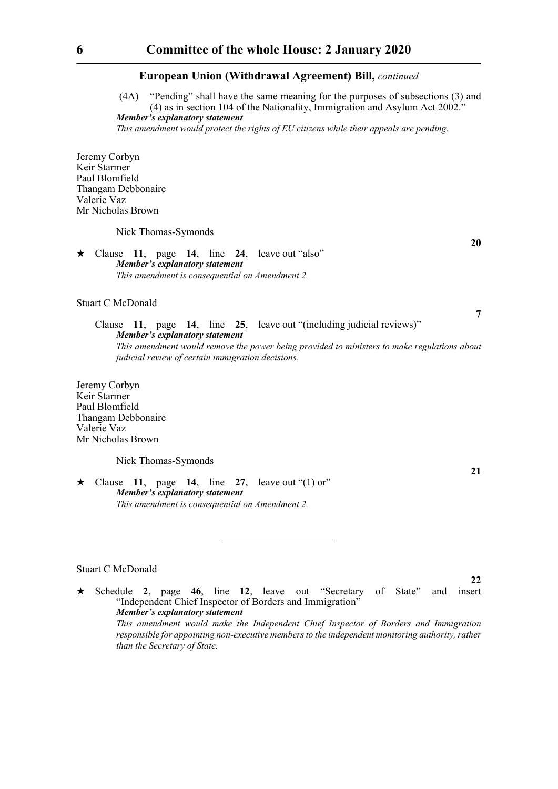(4A) "Pending" shall have the same meaning for the purposes of subsections (3) and (4) as in section 104 of the Nationality, Immigration and Asylum Act 2002." *Member's explanatory statement* 

*This amendment would protect the rights of EU citizens while their appeals are pending.*

Jeremy Corbyn Keir Starmer Paul Blomfield Thangam Debbonaire Valerie Vaz Mr Nicholas Brown

Nick Thomas-Symonds

#### $\star$  Clause 11, page 14, line 24, leave out "also" *Member's explanatory statement This amendment is consequential on Amendment 2.*

Stuart C McDonald

Clause **11**, page **14**, line **25**, leave out "(including judicial reviews)" *Member's explanatory statement This amendment would remove the power being provided to ministers to make regulations about judicial review of certain immigration decisions.*

Jeremy Corbyn Keir Starmer Paul Blomfield Thangam Debbonaire Valerie Vaz Mr Nicholas Brown

Nick Thomas-Symonds

 $\star$  Clause 11, page 14, line 27, leave out "(1) or" *Member's explanatory statement This amendment is consequential on Amendment 2.*

### Stuart C McDonald

 Schedule **2**, page **46**, line **12**, leave out "Secretary of State" and insert "Independent Chief Inspector of Borders and Immigration" *Member's explanatory statement This amendment would make the Independent Chief Inspector of Borders and Immigration responsible for appointing non-executive members to the independent monitoring authority, rather*

*than the Secretary of State.* 

**20**

**7**

**21**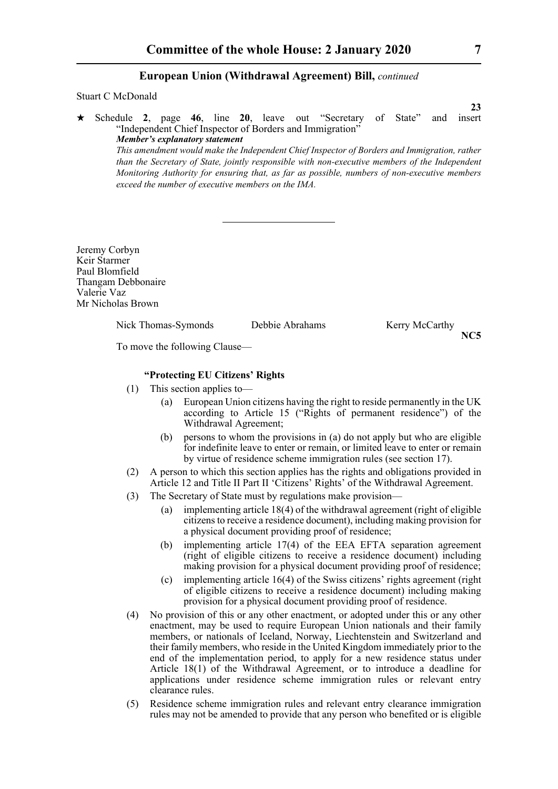#### Stuart C McDonald

 Schedule **2**, page **46**, line **20**, leave out "Secretary of State" and insert "Independent Chief Inspector of Borders and Immigration" *Member's explanatory statement This amendment would make the Independent Chief Inspector of Borders and Immigration, rather than the Secretary of State, jointly responsible with non-executive members of the Independent Monitoring Authority for ensuring that, as far as possible, numbers of non-executive members*

Jeremy Corbyn Keir Starmer Paul Blomfield Thangam Debbonaire Valerie Vaz Mr Nicholas Brown

Nick Thomas-Symonds Debbie Abrahams Kerry McCarthy

**NC5**

To move the following Clause—

# **"Protecting EU Citizens' Rights**

*exceed the number of executive members on the IMA.*

- (1) This section applies to—
	- (a) European Union citizens having the right to reside permanently in the UK according to Article 15 ("Rights of permanent residence") of the Withdrawal Agreement;
	- (b) persons to whom the provisions in (a) do not apply but who are eligible for indefinite leave to enter or remain, or limited leave to enter or remain by virtue of residence scheme immigration rules (see section 17).
- (2) A person to which this section applies has the rights and obligations provided in Article 12 and Title II Part II 'Citizens' Rights' of the Withdrawal Agreement.
- (3) The Secretary of State must by regulations make provision—
	- (a) implementing article 18(4) of the withdrawal agreement (right of eligible citizens to receive a residence document), including making provision for a physical document providing proof of residence;
	- (b) implementing article 17(4) of the EEA EFTA separation agreement (right of eligible citizens to receive a residence document) including making provision for a physical document providing proof of residence;
	- (c) implementing article 16(4) of the Swiss citizens' rights agreement (right of eligible citizens to receive a residence document) including making provision for a physical document providing proof of residence.
- (4) No provision of this or any other enactment, or adopted under this or any other enactment, may be used to require European Union nationals and their family members, or nationals of Iceland, Norway, Liechtenstein and Switzerland and their family members, who reside in the United Kingdom immediately prior to the end of the implementation period, to apply for a new residence status under Article 18(1) of the Withdrawal Agreement, or to introduce a deadline for applications under residence scheme immigration rules or relevant entry clearance rules.
- (5) Residence scheme immigration rules and relevant entry clearance immigration rules may not be amended to provide that any person who benefited or is eligible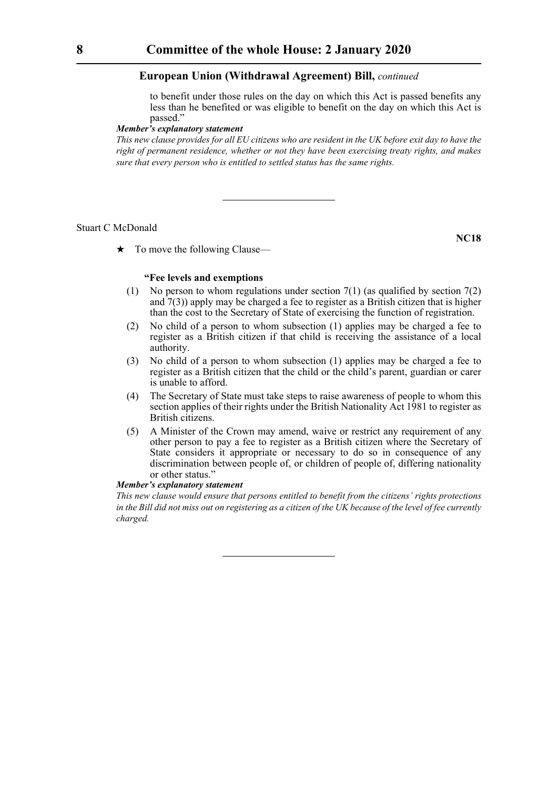to benefit under those rules on the day on which this Act is passed benefits any less than he benefited or was eligible to benefit on the day on which this Act is passed."

#### *Member's explanatory statement*

*This new clause provides for all EU citizens who are resident in the UK before exit day to have the right of permanent residence, whether or not they have been exercising treaty rights, and makes sure that every person who is entitled to settled status has the same rights.*

#### Stuart C McDonald

**NC18**

 $\star$  To move the following Clause—

# **"Fee levels and exemptions**

- (1) No person to whom regulations under section  $7(1)$  (as qualified by section  $7(2)$ and  $7(3)$ ) apply may be charged a fee to register as a British citizen that is higher than the cost to the Secretary of State of exercising the function of registration.
- (2) No child of a person to whom subsection (1) applies may be charged a fee to register as a British citizen if that child is receiving the assistance of a local authority.
- (3) No child of a person to whom subsection (1) applies may be charged a fee to register as a British citizen that the child or the child's parent, guardian or carer is unable to afford.
- (4) The Secretary of State must take steps to raise awareness of people to whom this section applies of their rights under the British Nationality Act 1981 to register as British citizens.
- (5) A Minister of the Crown may amend, waive or restrict any requirement of any other person to pay a fee to register as a British citizen where the Secretary of State considers it appropriate or necessary to do so in consequence of any discrimination between people of, or children of people of, differing nationality or other status."

# *Member's explanatory statement*

*This new clause would ensure that persons entitled to benefit from the citizens' rights protections in the Bill did not miss out on registering as a citizen of the UK because of the level of fee currently charged.*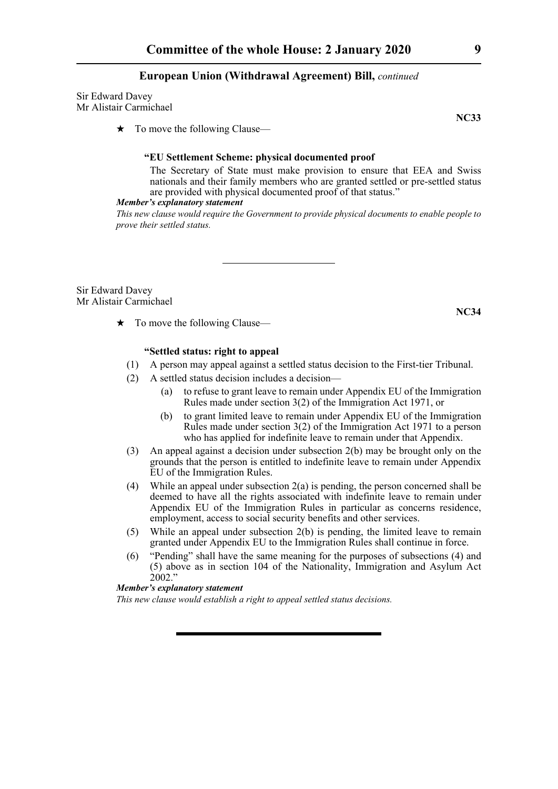Sir Edward Davey Mr Alistair Carmichael

 $\star$  To move the following Clause—

#### **"EU Settlement Scheme: physical documented proof**

 The Secretary of State must make provision to ensure that EEA and Swiss nationals and their family members who are granted settled or pre-settled status are provided with physical documented proof of that status."

#### *Member's explanatory statement*

*This new clause would require the Government to provide physical documents to enable people to prove their settled status.* 

Sir Edward Davey Mr Alistair Carmichael

 $\star$  To move the following Clause—

# **"Settled status: right to appeal**

- (1) A person may appeal against a settled status decision to the First-tier Tribunal.
- (2) A settled status decision includes a decision—
	- (a) to refuse to grant leave to remain under Appendix EU of the Immigration Rules made under section 3(2) of the Immigration Act 1971, or
	- (b) to grant limited leave to remain under Appendix EU of the Immigration Rules made under section 3(2) of the Immigration Act 1971 to a person who has applied for indefinite leave to remain under that Appendix.
- (3) An appeal against a decision under subsection 2(b) may be brought only on the grounds that the person is entitled to indefinite leave to remain under Appendix EU of the Immigration Rules.
- (4) While an appeal under subsection 2(a) is pending, the person concerned shall be deemed to have all the rights associated with indefinite leave to remain under Appendix EU of the Immigration Rules in particular as concerns residence, employment, access to social security benefits and other services.
- (5) While an appeal under subsection 2(b) is pending, the limited leave to remain granted under Appendix EU to the Immigration Rules shall continue in force.
- (6) "Pending" shall have the same meaning for the purposes of subsections (4) and (5) above as in section 104 of the Nationality, Immigration and Asylum Act  $2002.$ "

# *Member's explanatory statement*

*This new clause would establish a right to appeal settled status decisions.*

**NC33**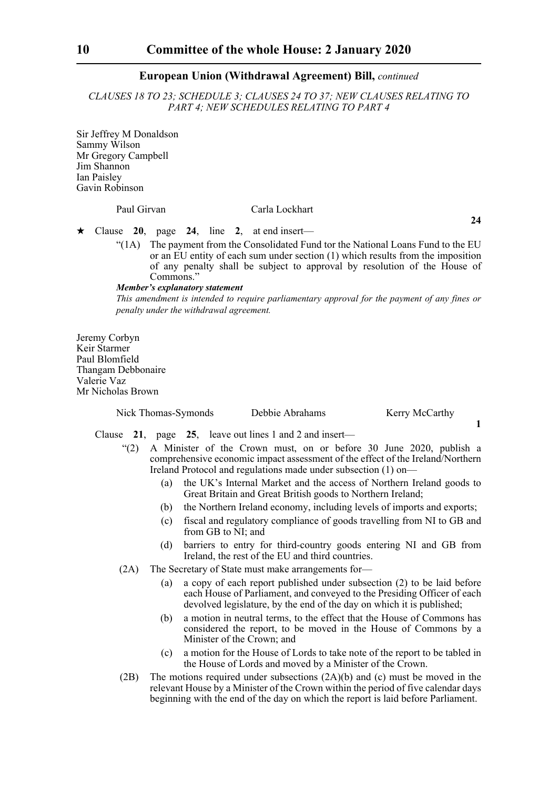*CLAUSES 18 TO 23; SCHEDULE 3; CLAUSES 24 TO 37; NEW CLAUSES RELATING TO PART 4; NEW SCHEDULES RELATING TO PART 4*

Sir Jeffrey M Donaldson Sammy Wilson Mr Gregory Campbell Jim Shannon Ian Paisley Gavin Robinson

# Paul Girvan Carla Lockhart

**24**

Clause **20**, page **24**, line **2**, at end insert—

"(1A) The payment from the Consolidated Fund tor the National Loans Fund to the EU or an EU entity of each sum under section (1) which results from the imposition of any penalty shall be subject to approval by resolution of the House of Commons."

#### *Member's explanatory statement*

*This amendment is intended to require parliamentary approval for the payment of any fines or penalty under the withdrawal agreement.*

Jeremy Corbyn Keir Starmer Paul Blomfield Thangam Debbonaire Valerie Vaz Mr Nicholas Brown

| Nick Thomas-Symonds | Debbie Abrahams | Kerry McCarthy |  |
|---------------------|-----------------|----------------|--|
|                     |                 |                |  |

Clause **21**, page **25**, leave out lines 1 and 2 and insert—

- "(2) A Minister of the Crown must, on or before 30 June 2020, publish a comprehensive economic impact assessment of the effect of the Ireland/Northern Ireland Protocol and regulations made under subsection (1) on—
	- (a) the UK's Internal Market and the access of Northern Ireland goods to Great Britain and Great British goods to Northern Ireland;
	- (b) the Northern Ireland economy, including levels of imports and exports;
	- (c) fiscal and regulatory compliance of goods travelling from NI to GB and from GB to NI; and
	- (d) barriers to entry for third-country goods entering NI and GB from Ireland, the rest of the EU and third countries.
- (2A) The Secretary of State must make arrangements for—
	- (a) a copy of each report published under subsection (2) to be laid before each House of Parliament, and conveyed to the Presiding Officer of each devolved legislature, by the end of the day on which it is published;
	- (b) a motion in neutral terms, to the effect that the House of Commons has considered the report, to be moved in the House of Commons by a Minister of the Crown; and
	- (c) a motion for the House of Lords to take note of the report to be tabled in the House of Lords and moved by a Minister of the Crown.
- (2B) The motions required under subsections (2A)(b) and (c) must be moved in the relevant House by a Minister of the Crown within the period of five calendar days beginning with the end of the day on which the report is laid before Parliament.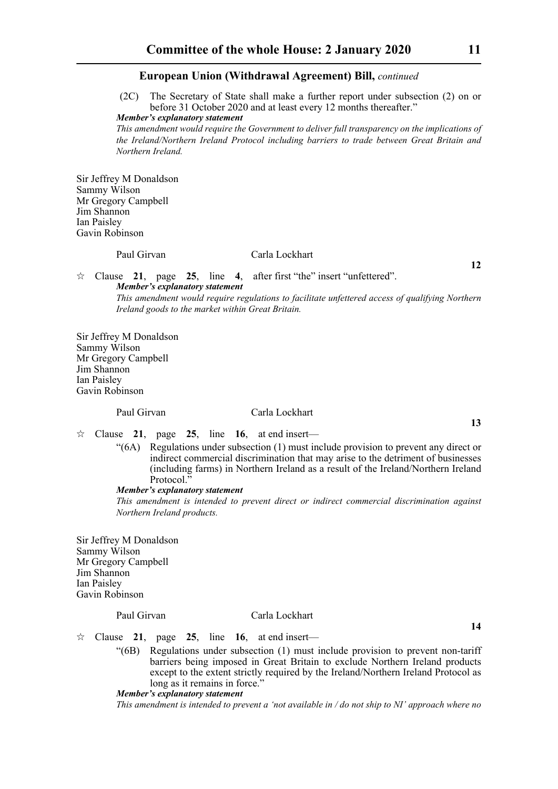(2C) The Secretary of State shall make a further report under subsection (2) on or before 31 October 2020 and at least every 12 months thereafter."

*Member's explanatory statement* 

*This amendment would require the Government to deliver full transparency on the implications of the Ireland/Northern Ireland Protocol including barriers to trade between Great Britain and Northern Ireland.*

Sir Jeffrey M Donaldson Sammy Wilson Mr Gregory Campbell Jim Shannon Ian Paisley Gavin Robinson

#### Paul Girvan Carla Lockhart

**12**

**13**

**14**

 Clause **21**, page **25**, line **4**, after first "the" insert "unfettered". *Member's explanatory statement* 

*This amendment would require regulations to facilitate unfettered access of qualifying Northern Ireland goods to the market within Great Britain.* 

Sir Jeffrey M Donaldson Sammy Wilson Mr Gregory Campbell Jim Shannon Ian Paisley Gavin Robinson

# Paul Girvan Carla Lockhart

 $\approx$  Clause 21, page 25, line 16, at end insert—

"(6A) Regulations under subsection (1) must include provision to prevent any direct or indirect commercial discrimination that may arise to the detriment of businesses (including farms) in Northern Ireland as a result of the Ireland/Northern Ireland Protocol.

## *Member's explanatory statement*

*This amendment is intended to prevent direct or indirect commercial discrimination against Northern Ireland products.* 

Sir Jeffrey M Donaldson Sammy Wilson Mr Gregory Campbell Jim Shannon Ian Paisley Gavin Robinson

#### Paul Girvan Carla Lockhart

 $\approx$  Clause 21, page 25, line 16, at end insert—

"(6B) Regulations under subsection (1) must include provision to prevent non-tariff barriers being imposed in Great Britain to exclude Northern Ireland products except to the extent strictly required by the Ireland/Northern Ireland Protocol as long as it remains in force."

*Member's explanatory statement* 

*This amendment is intended to prevent a 'not available in / do not ship to NI' approach where no*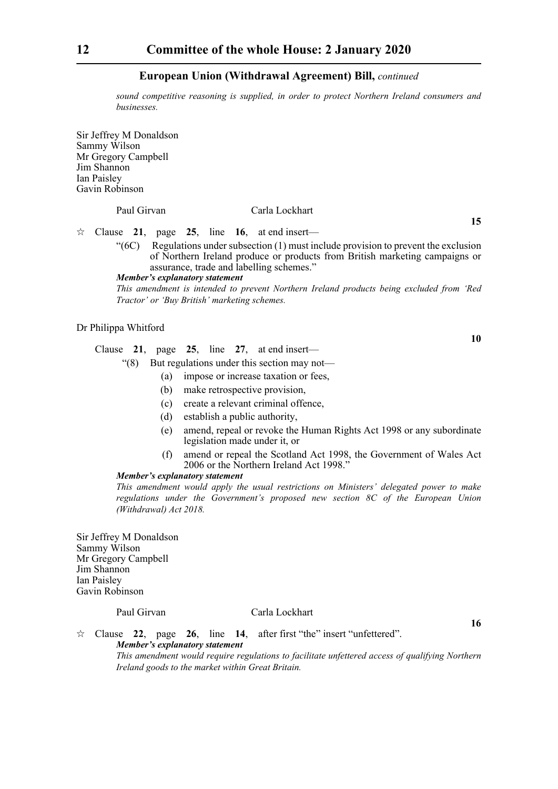*sound competitive reasoning is supplied, in order to protect Northern Ireland consumers and businesses.* 

Sir Jeffrey M Donaldson Sammy Wilson Mr Gregory Campbell Jim Shannon Ian Paisley Gavin Robinson

# Paul Girvan Carla Lockhart

 $\approx$  Clause 21, page 25, line 16, at end insert—

"(6C) Regulations under subsection (1) must include provision to prevent the exclusion of Northern Ireland produce or products from British marketing campaigns or assurance, trade and labelling schemes."

*Member's explanatory statement* 

*This amendment is intended to prevent Northern Ireland products being excluded from 'Red Tractor' or 'Buy British' marketing schemes.* 

# Dr Philippa Whitford

Clause **21**, page **25**, line **27**, at end insert—

- "(8) But regulations under this section may not—
	- (a) impose or increase taxation or fees,
	- (b) make retrospective provision,
	- (c) create a relevant criminal offence,
	- (d) establish a public authority,
	- (e) amend, repeal or revoke the Human Rights Act 1998 or any subordinate legislation made under it, or
	- (f) amend or repeal the Scotland Act 1998, the Government of Wales Act 2006 or the Northern Ireland Act 1998."

#### *Member's explanatory statement*

*This amendment would apply the usual restrictions on Ministers' delegated power to make regulations under the Government's proposed new section 8C of the European Union (Withdrawal) Act 2018.*

Sir Jeffrey M Donaldson Sammy Wilson Mr Gregory Campbell Jim Shannon Ian Paisley Gavin Robinson

#### Paul Girvan Carla Lockhart

**16**

 Clause **22**, page **26**, line **14**, after first "the" insert "unfettered". *Member's explanatory statement This amendment would require regulations to facilitate unfettered access of qualifying Northern*

*Ireland goods to the market within Great Britain.* 

**10**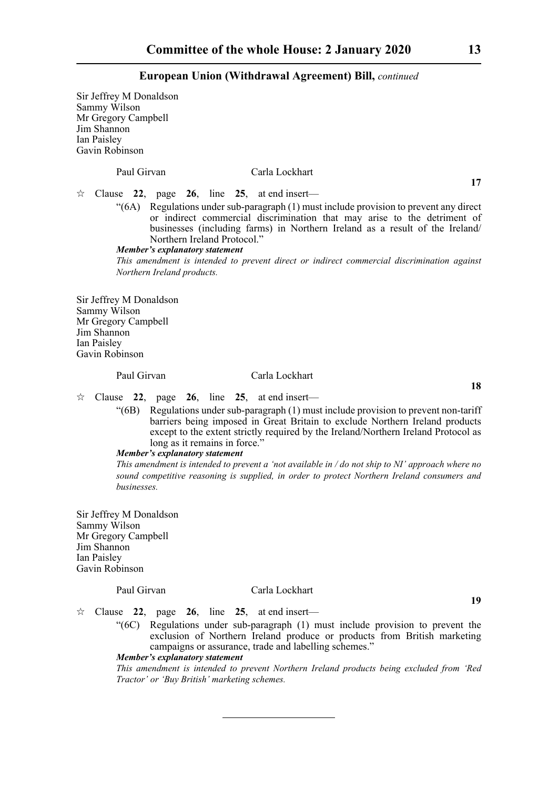Sir Jeffrey M Donaldson Sammy Wilson Mr Gregory Campbell Jim Shannon Ian Paisley Gavin Robinson

Paul Girvan Carla Lockhart

**17**

**18**

 $\approx$  Clause 22, page 26, line 25, at end insert—

"(6A) Regulations under sub-paragraph (1) must include provision to prevent any direct or indirect commercial discrimination that may arise to the detriment of businesses (including farms) in Northern Ireland as a result of the Ireland/ Northern Ireland Protocol."

#### *Member's explanatory statement*

*This amendment is intended to prevent direct or indirect commercial discrimination against Northern Ireland products.* 

Sir Jeffrey M Donaldson Sammy Wilson Mr Gregory Campbell Jim Shannon Ian Paisley Gavin Robinson

#### Paul Girvan Carla Lockhart

 $\approx$  Clause 22, page 26, line 25, at end insert—

"(6B) Regulations under sub-paragraph (1) must include provision to prevent non-tariff barriers being imposed in Great Britain to exclude Northern Ireland products except to the extent strictly required by the Ireland/Northern Ireland Protocol as long as it remains in force."

# *Member's explanatory statement*

*This amendment is intended to prevent a 'not available in / do not ship to NI' approach where no sound competitive reasoning is supplied, in order to protect Northern Ireland consumers and businesses.* 

Sir Jeffrey M Donaldson Sammy Wilson Mr Gregory Campbell Jim Shannon Ian Paisley Gavin Robinson

#### Paul Girvan Carla Lockhart

**19**

 $\hat{\varphi}$  Clause 22, page 26, line 25, at end insert—

"(6C) Regulations under sub-paragraph (1) must include provision to prevent the exclusion of Northern Ireland produce or products from British marketing campaigns or assurance, trade and labelling schemes."

#### *Member's explanatory statement*

*This amendment is intended to prevent Northern Ireland products being excluded from 'Red Tractor' or 'Buy British' marketing schemes.*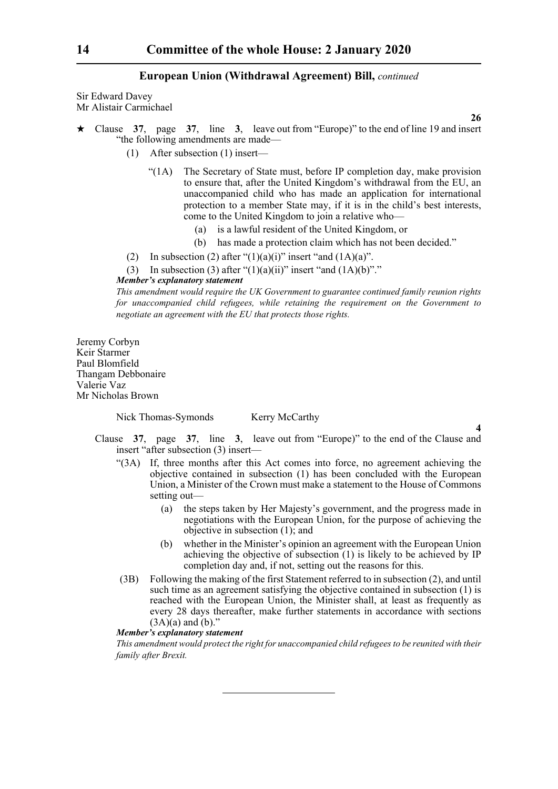Sir Edward Davey Mr Alistair Carmichael

**26**

**4**

- Clause **37**, page **37**, line **3**, leave out from "Europe)" to the end of line 19 and insert "the following amendments are made—
	- (1) After subsection (1) insert—
		- "(1A) The Secretary of State must, before IP completion day, make provision to ensure that, after the United Kingdom's withdrawal from the EU, an unaccompanied child who has made an application for international protection to a member State may, if it is in the child's best interests, come to the United Kingdom to join a relative who—
			- (a) is a lawful resident of the United Kingdom, or
			- (b) has made a protection claim which has not been decided."
	- (2) In subsection (2) after " $(1)(a)(i)$ " insert "and  $(1A)(a)$ ".
	- (3) In subsection (3) after " $(1)(a)(ii)$ " insert "and  $(1A)(b)$ "."

#### *Member's explanatory statement*

*This amendment would require the UK Government to guarantee continued family reunion rights for unaccompanied child refugees, while retaining the requirement on the Government to negotiate an agreement with the EU that protects those rights.*

Jeremy Corbyn Keir Starmer Paul Blomfield Thangam Debbonaire Valerie Vaz Mr Nicholas Brown

Nick Thomas-Symonds Kerry McCarthy

- Clause **37**, page **37**, line **3**, leave out from "Europe)" to the end of the Clause and insert "after subsection (3) insert—
	- "(3A) If, three months after this Act comes into force, no agreement achieving the objective contained in subsection (1) has been concluded with the European Union, a Minister of the Crown must make a statement to the House of Commons setting out—
		- (a) the steps taken by Her Majesty's government, and the progress made in negotiations with the European Union, for the purpose of achieving the objective in subsection (1); and
		- (b) whether in the Minister's opinion an agreement with the European Union achieving the objective of subsection  $(1)$  is likely to be achieved by IP completion day and, if not, setting out the reasons for this.
	- (3B) Following the making of the first Statement referred to in subsection (2), and until such time as an agreement satisfying the objective contained in subsection (1) is reached with the European Union, the Minister shall, at least as frequently as every 28 days thereafter, make further statements in accordance with sections  $(3A)(a)$  and  $(b)$ ."

# *Member's explanatory statement*

*This amendment would protect the right for unaccompanied child refugees to be reunited with their family after Brexit.*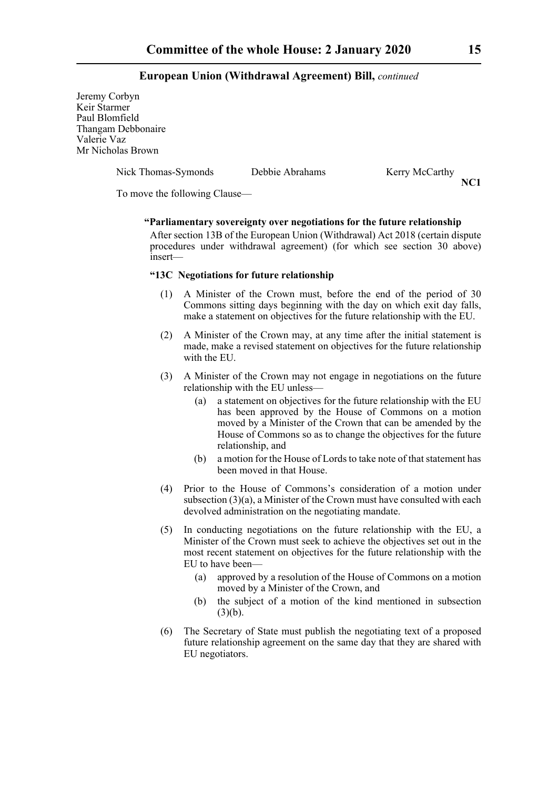Jeremy Corbyn Keir Starmer Paul Blomfield Thangam Debbonaire Valerie Vaz Mr Nicholas Brown

Nick Thomas-Symonds Debbie Abrahams Kerry McCarthy

**NC1**

To move the following Clause—

# **"Parliamentary sovereignty over negotiations for the future relationship**

 After section 13B of the European Union (Withdrawal) Act 2018 (certain dispute procedures under withdrawal agreement) (for which see section 30 above) insert—

## **"13C Negotiations for future relationship**

- (1) A Minister of the Crown must, before the end of the period of 30 Commons sitting days beginning with the day on which exit day falls, make a statement on objectives for the future relationship with the EU.
- (2) A Minister of the Crown may, at any time after the initial statement is made, make a revised statement on objectives for the future relationship with the EU.
- (3) A Minister of the Crown may not engage in negotiations on the future relationship with the EU unless—
	- (a) a statement on objectives for the future relationship with the EU has been approved by the House of Commons on a motion moved by a Minister of the Crown that can be amended by the House of Commons so as to change the objectives for the future relationship, and
	- (b) a motion for the House of Lords to take note of that statement has been moved in that House.
- (4) Prior to the House of Commons's consideration of a motion under subsection (3)(a), a Minister of the Crown must have consulted with each devolved administration on the negotiating mandate.
- (5) In conducting negotiations on the future relationship with the EU, a Minister of the Crown must seek to achieve the objectives set out in the most recent statement on objectives for the future relationship with the EU to have been—
	- (a) approved by a resolution of the House of Commons on a motion moved by a Minister of the Crown, and
	- (b) the subject of a motion of the kind mentioned in subsection  $(3)(b)$ .
- (6) The Secretary of State must publish the negotiating text of a proposed future relationship agreement on the same day that they are shared with EU negotiators.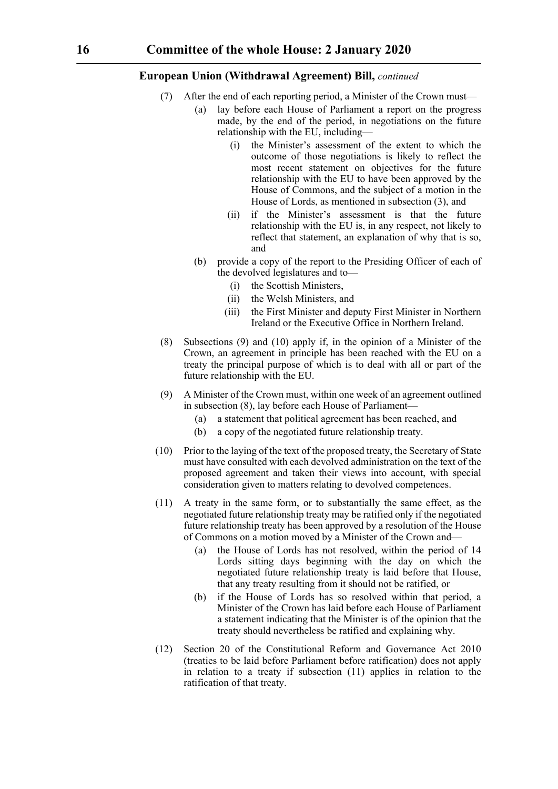- (7) After the end of each reporting period, a Minister of the Crown must—
	- (a) lay before each House of Parliament a report on the progress made, by the end of the period, in negotiations on the future relationship with the EU, including—
		- (i) the Minister's assessment of the extent to which the outcome of those negotiations is likely to reflect the most recent statement on objectives for the future relationship with the EU to have been approved by the House of Commons, and the subject of a motion in the House of Lords, as mentioned in subsection (3), and
		- (ii) if the Minister's assessment is that the future relationship with the EU is, in any respect, not likely to reflect that statement, an explanation of why that is so, and
	- (b) provide a copy of the report to the Presiding Officer of each of the devolved legislatures and to—
		- (i) the Scottish Ministers,
		- (ii) the Welsh Ministers, and
		- (iii) the First Minister and deputy First Minister in Northern Ireland or the Executive Office in Northern Ireland.
- (8) Subsections (9) and (10) apply if, in the opinion of a Minister of the Crown, an agreement in principle has been reached with the EU on a treaty the principal purpose of which is to deal with all or part of the future relationship with the EU.
- (9) A Minister of the Crown must, within one week of an agreement outlined in subsection (8), lay before each House of Parliament—
	- (a) a statement that political agreement has been reached, and
	- (b) a copy of the negotiated future relationship treaty.
- (10) Prior to the laying of the text of the proposed treaty, the Secretary of State must have consulted with each devolved administration on the text of the proposed agreement and taken their views into account, with special consideration given to matters relating to devolved competences.
- (11) A treaty in the same form, or to substantially the same effect, as the negotiated future relationship treaty may be ratified only if the negotiated future relationship treaty has been approved by a resolution of the House of Commons on a motion moved by a Minister of the Crown and—
	- (a) the House of Lords has not resolved, within the period of 14 Lords sitting days beginning with the day on which the negotiated future relationship treaty is laid before that House, that any treaty resulting from it should not be ratified, or
	- (b) if the House of Lords has so resolved within that period, a Minister of the Crown has laid before each House of Parliament a statement indicating that the Minister is of the opinion that the treaty should nevertheless be ratified and explaining why.
- (12) Section 20 of the Constitutional Reform and Governance Act 2010 (treaties to be laid before Parliament before ratification) does not apply in relation to a treaty if subsection (11) applies in relation to the ratification of that treaty.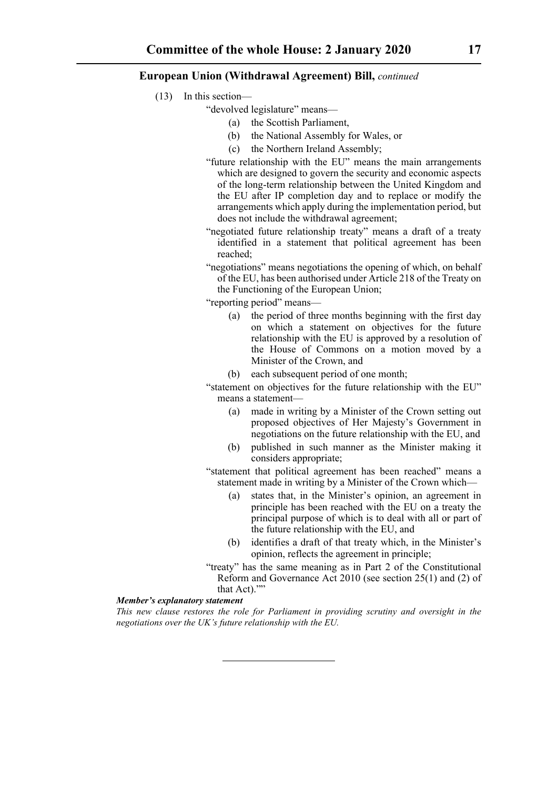- (13) In this section—
	- "devolved legislature" means—
		- (a) the Scottish Parliament,
		- (b) the National Assembly for Wales, or
		- (c) the Northern Ireland Assembly;
	- "future relationship with the EU" means the main arrangements which are designed to govern the security and economic aspects of the long-term relationship between the United Kingdom and the EU after IP completion day and to replace or modify the arrangements which apply during the implementation period, but does not include the withdrawal agreement;
	- "negotiated future relationship treaty" means a draft of a treaty identified in a statement that political agreement has been reached;
	- "negotiations" means negotiations the opening of which, on behalf of the EU, has been authorised under Article 218 of the Treaty on the Functioning of the European Union;

"reporting period" means—

- (a) the period of three months beginning with the first day on which a statement on objectives for the future relationship with the EU is approved by a resolution of the House of Commons on a motion moved by a Minister of the Crown, and
- (b) each subsequent period of one month;

"statement on objectives for the future relationship with the EU" means a statement—

- (a) made in writing by a Minister of the Crown setting out proposed objectives of Her Majesty's Government in negotiations on the future relationship with the EU, and
- (b) published in such manner as the Minister making it considers appropriate;

"statement that political agreement has been reached" means a statement made in writing by a Minister of the Crown which—

- (a) states that, in the Minister's opinion, an agreement in principle has been reached with the EU on a treaty the principal purpose of which is to deal with all or part of the future relationship with the EU, and
- (b) identifies a draft of that treaty which, in the Minister's opinion, reflects the agreement in principle;
- "treaty" has the same meaning as in Part 2 of the Constitutional Reform and Governance Act 2010 (see section 25(1) and (2) of that Act).""

#### *Member's explanatory statement*

*This new clause restores the role for Parliament in providing scrutiny and oversight in the negotiations over the UK's future relationship with the EU.*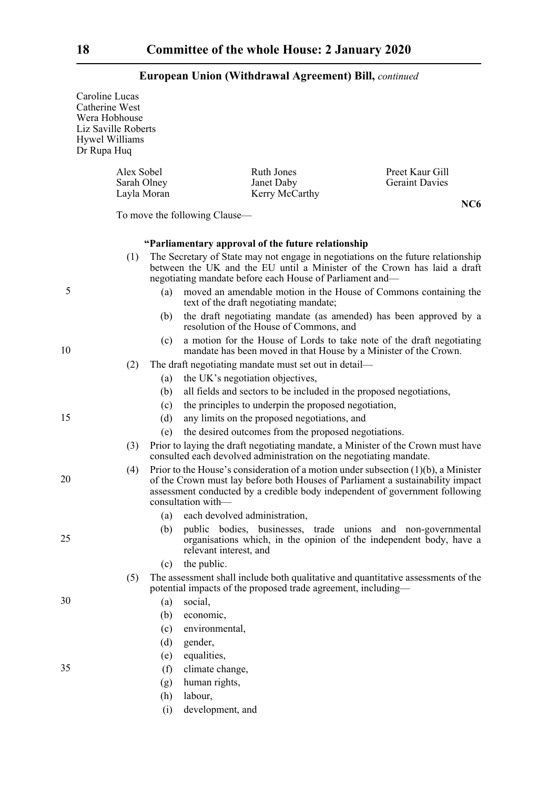# Caroline Lucas Catherine West Wera Hobhouse Liz Saville Roberts Hywel Williams Dr Rupa Huq Alex Sobel Ruth Jones Preet Kaur Gill<br>
Sarah Olnev Janet Daby Geraint Davies **Geraint Davies** Layla Moran Kerry McCarthy **NC6** To move the following Clause— **"Parliamentary approval of the future relationship** (1) The Secretary of State may not engage in negotiations on the future relationship between the UK and the EU until a Minister of the Crown has laid a draft negotiating mandate before each House of Parliament and— (a) moved an amendable motion in the House of Commons containing the text of the draft negotiating mandate; (b) the draft negotiating mandate (as amended) has been approved by a resolution of the House of Commons, and (c) a motion for the House of Lords to take note of the draft negotiating mandate has been moved in that House by a Minister of the Crown. (2) The draft negotiating mandate must set out in detail— (a) the UK's negotiation objectives, (b) all fields and sectors to be included in the proposed negotiations, (c) the principles to underpin the proposed negotiation, (d) any limits on the proposed negotiations, and (e) the desired outcomes from the proposed negotiations. (3) Prior to laying the draft negotiating mandate, a Minister of the Crown must have consulted each devolved administration on the negotiating mandate. (4) Prior to the House's consideration of a motion under subsection (1)(b), a Minister of the Crown must lay before both Houses of Parliament a sustainability impact assessment conducted by a credible body independent of government following consultation with— (a) each devolved administration, (b) public bodies, businesses, trade unions and non-governmental organisations which, in the opinion of the independent body, have a relevant interest, and (c) the public. (5) The assessment shall include both qualitative and quantitative assessments of the potential impacts of the proposed trade agreement, including— (a) social, (b) economic, (c) environmental, (d) gender, (e) equalities, (f) climate change, (g) human rights, (h) labour, (i) development, and 5 10 15 20 25 30 35

# **European Union (Withdrawal Agreement) Bill,** *continued*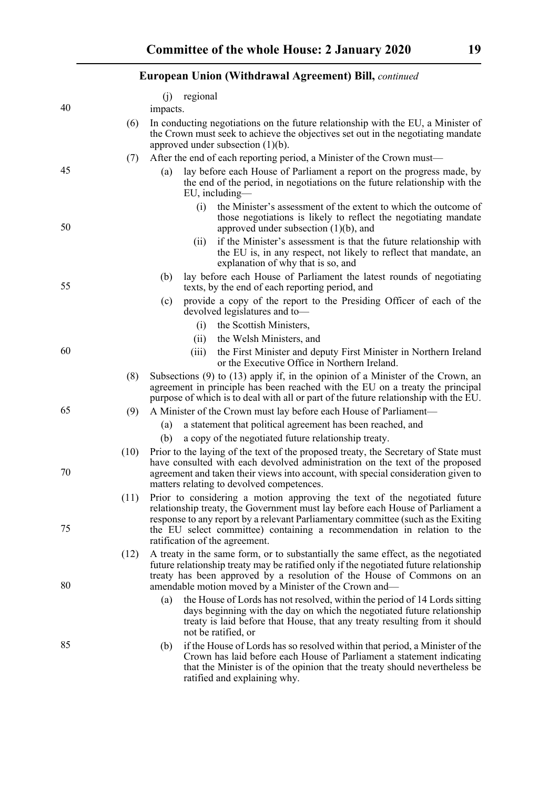| <b>European Union (Withdrawal Agreement) Bill, continued</b> |      |                                                                                                                                                                                                                                                                                                                                                  |
|--------------------------------------------------------------|------|--------------------------------------------------------------------------------------------------------------------------------------------------------------------------------------------------------------------------------------------------------------------------------------------------------------------------------------------------|
|                                                              |      | regional<br>(i)                                                                                                                                                                                                                                                                                                                                  |
| 40                                                           |      | impacts.                                                                                                                                                                                                                                                                                                                                         |
|                                                              | (6)  | In conducting negotiations on the future relationship with the EU, a Minister of<br>the Crown must seek to achieve the objectives set out in the negotiating mandate<br>approved under subsection $(1)(b)$ .                                                                                                                                     |
|                                                              | (7)  | After the end of each reporting period, a Minister of the Crown must—                                                                                                                                                                                                                                                                            |
| 45                                                           |      | lay before each House of Parliament a report on the progress made, by<br>(a)<br>the end of the period, in negotiations on the future relationship with the<br>EU, including-                                                                                                                                                                     |
| 50                                                           |      | the Minister's assessment of the extent to which the outcome of<br>(i)<br>those negotiations is likely to reflect the negotiating mandate<br>approved under subsection $(1)(b)$ , and                                                                                                                                                            |
|                                                              |      | if the Minister's assessment is that the future relationship with<br>(ii)<br>the EU is, in any respect, not likely to reflect that mandate, an<br>explanation of why that is so, and                                                                                                                                                             |
| 55                                                           |      | lay before each House of Parliament the latest rounds of negotiating<br>(b)<br>texts, by the end of each reporting period, and                                                                                                                                                                                                                   |
|                                                              |      | provide a copy of the report to the Presiding Officer of each of the<br>(c)<br>devolved legislatures and to-                                                                                                                                                                                                                                     |
|                                                              |      | the Scottish Ministers,<br>(i)                                                                                                                                                                                                                                                                                                                   |
|                                                              |      | the Welsh Ministers, and<br>(ii)                                                                                                                                                                                                                                                                                                                 |
| 60                                                           |      | the First Minister and deputy First Minister in Northern Ireland<br>(iii)<br>or the Executive Office in Northern Ireland.                                                                                                                                                                                                                        |
|                                                              | (8)  | Subsections $(9)$ to $(13)$ apply if, in the opinion of a Minister of the Crown, an<br>agreement in principle has been reached with the EU on a treaty the principal<br>purpose of which is to deal with all or part of the future relationship with the EU.                                                                                     |
| 65                                                           | (9)  | A Minister of the Crown must lay before each House of Parliament—                                                                                                                                                                                                                                                                                |
|                                                              |      | a statement that political agreement has been reached, and<br>(a)                                                                                                                                                                                                                                                                                |
|                                                              |      | a copy of the negotiated future relationship treaty.<br>(b)                                                                                                                                                                                                                                                                                      |
| 70                                                           | (10) | Prior to the laying of the text of the proposed treaty, the Secretary of State must<br>have consulted with each devolved administration on the text of the proposed<br>agreement and taken their views into account, with special consideration given to<br>matters relating to devolved competences.                                            |
| 75                                                           | (11) | Prior to considering a motion approving the text of the negotiated future<br>relationship treaty, the Government must lay before each House of Parliament a<br>response to any report by a relevant Parliamentary committee (such as the Exiting<br>the EU select committee) containing a recommendation in relation to the                      |
| 80                                                           | (12) | ratification of the agreement.<br>A treaty in the same form, or to substantially the same effect, as the negotiated<br>future relationship treaty may be ratified only if the negotiated future relationship<br>treaty has been approved by a resolution of the House of Commons on an<br>amendable motion moved by a Minister of the Crown and— |
|                                                              |      | the House of Lords has not resolved, within the period of 14 Lords sitting<br>(a)<br>days beginning with the day on which the negotiated future relationship<br>treaty is laid before that House, that any treaty resulting from it should<br>not be ratified, or                                                                                |
| 85                                                           |      | if the House of Lords has so resolved within that period, a Minister of the<br>(b)<br>Crown has laid before each House of Parliament a statement indicating<br>that the Minister is of the opinion that the treaty should nevertheless be<br>ratified and explaining why.                                                                        |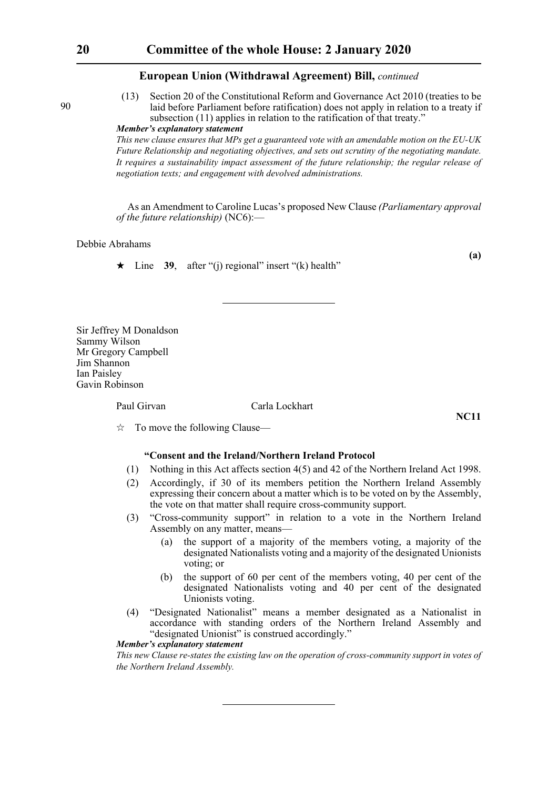(13) Section 20 of the Constitutional Reform and Governance Act 2010 (treaties to be laid before Parliament before ratification) does not apply in relation to a treaty if subsection (11) applies in relation to the ratification of that treaty."

# *Member's explanatory statement*

*This new clause ensures that MPs get a guaranteed vote with an amendable motion on the EU-UK Future Relationship and negotiating objectives, and sets out scrutiny of the negotiating mandate. It requires a sustainability impact assessment of the future relationship; the regular release of negotiation texts; and engagement with devolved administrations.*

As an Amendment to Caroline Lucas's proposed New Clause *(Parliamentary approval of the future relationship)* (NC6):—

#### Debbie Abrahams

 $\star$  Line **39**, after "(i) regional" insert "(k) health"

**(a)**

Sir Jeffrey M Donaldson Sammy Wilson Mr Gregory Campbell Jim Shannon Ian Paisley Gavin Robinson

### Paul Girvan Carla Lockhart

**NC11**

 $\vec{x}$  To move the following Clause—

# **"Consent and the Ireland/Northern Ireland Protocol**

- (1) Nothing in this Act affects section 4(5) and 42 of the Northern Ireland Act 1998.
- (2) Accordingly, if 30 of its members petition the Northern Ireland Assembly expressing their concern about a matter which is to be voted on by the Assembly, the vote on that matter shall require cross-community support.
- (3) "Cross-community support" in relation to a vote in the Northern Ireland Assembly on any matter, means—
	- (a) the support of a majority of the members voting, a majority of the designated Nationalists voting and a majority of the designated Unionists voting; or
	- (b) the support of 60 per cent of the members voting, 40 per cent of the designated Nationalists voting and 40 per cent of the designated Unionists voting.
- (4) "Designated Nationalist" means a member designated as a Nationalist in accordance with standing orders of the Northern Ireland Assembly and "designated Unionist" is construed accordingly."

#### *Member's explanatory statement*

*This new Clause re-states the existing law on the operation of cross-community support in votes of the Northern Ireland Assembly.*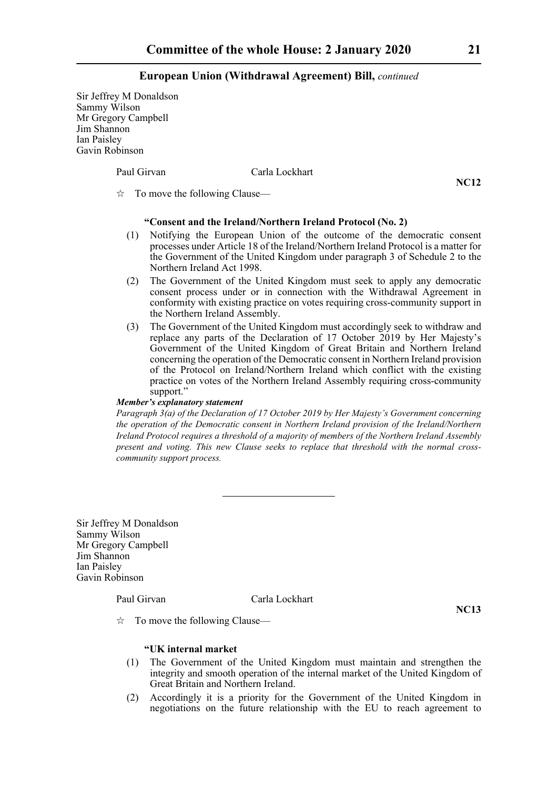Sir Jeffrey M Donaldson Sammy Wilson Mr Gregory Campbell Jim Shannon Ian Paisley Gavin Robinson

Paul Girvan Carla Lockhart

**NC12**

 $\vec{\mathcal{R}}$  To move the following Clause—

# **"Consent and the Ireland/Northern Ireland Protocol (No. 2)**

- (1) Notifying the European Union of the outcome of the democratic consent processes under Article 18 of the Ireland/Northern Ireland Protocol is a matter for the Government of the United Kingdom under paragraph 3 of Schedule 2 to the Northern Ireland Act 1998.
- (2) The Government of the United Kingdom must seek to apply any democratic consent process under or in connection with the Withdrawal Agreement in conformity with existing practice on votes requiring cross-community support in the Northern Ireland Assembly.
- (3) The Government of the United Kingdom must accordingly seek to withdraw and replace any parts of the Declaration of 17 October 2019 by Her Majesty's Government of the United Kingdom of Great Britain and Northern Ireland concerning the operation of the Democratic consent in Northern Ireland provision of the Protocol on Ireland/Northern Ireland which conflict with the existing practice on votes of the Northern Ireland Assembly requiring cross-community support."

#### *Member's explanatory statement*

*Paragraph 3(a) of the Declaration of 17 October 2019 by Her Majesty's Government concerning the operation of the Democratic consent in Northern Ireland provision of the Ireland/Northern Ireland Protocol requires a threshold of a majority of members of the Northern Ireland Assembly present and voting. This new Clause seeks to replace that threshold with the normal crosscommunity support process.*

Sir Jeffrey M Donaldson Sammy Wilson Mr Gregory Campbell Jim Shannon Ian Paisley Gavin Robinson

# Paul Girvan Carla Lockhart

**NC13**

 $\vec{x}$  To move the following Clause—

## **"UK internal market**

- (1) The Government of the United Kingdom must maintain and strengthen the integrity and smooth operation of the internal market of the United Kingdom of Great Britain and Northern Ireland.
- (2) Accordingly it is a priority for the Government of the United Kingdom in negotiations on the future relationship with the EU to reach agreement to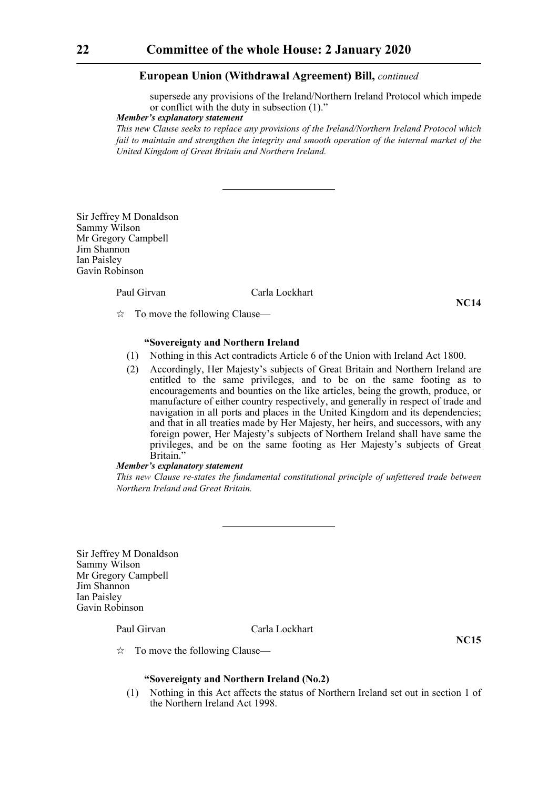supersede any provisions of the Ireland/Northern Ireland Protocol which impede or conflict with the duty in subsection (1)."

# *Member's explanatory statement*

*This new Clause seeks to replace any provisions of the Ireland/Northern Ireland Protocol which fail to maintain and strengthen the integrity and smooth operation of the internal market of the United Kingdom of Great Britain and Northern Ireland.*

Sir Jeffrey M Donaldson Sammy Wilson Mr Gregory Campbell Jim Shannon Ian Paisley Gavin Robinson

# Paul Girvan Carla Lockhart

**NC14**

 $\vec{x}$  To move the following Clause—

## **"Sovereignty and Northern Ireland**

- (1) Nothing in this Act contradicts Article 6 of the Union with Ireland Act 1800.
- (2) Accordingly, Her Majesty's subjects of Great Britain and Northern Ireland are entitled to the same privileges, and to be on the same footing as to encouragements and bounties on the like articles, being the growth, produce, or manufacture of either country respectively, and generally in respect of trade and navigation in all ports and places in the United Kingdom and its dependencies; and that in all treaties made by Her Majesty, her heirs, and successors, with any foreign power, Her Majesty's subjects of Northern Ireland shall have same the privileges, and be on the same footing as Her Majesty's subjects of Great Britain."

### *Member's explanatory statement*

*This new Clause re-states the fundamental constitutional principle of unfettered trade between Northern Ireland and Great Britain.* 

Sir Jeffrey M Donaldson Sammy Wilson Mr Gregory Campbell Jim Shannon Ian Paisley Gavin Robinson

#### Paul Girvan Carla Lockhart

**NC15**

 $\vec{\mathbf{x}}$  To move the following Clause—

# **"Sovereignty and Northern Ireland (No.2)**

(1) Nothing in this Act affects the status of Northern Ireland set out in section 1 of the Northern Ireland Act 1998.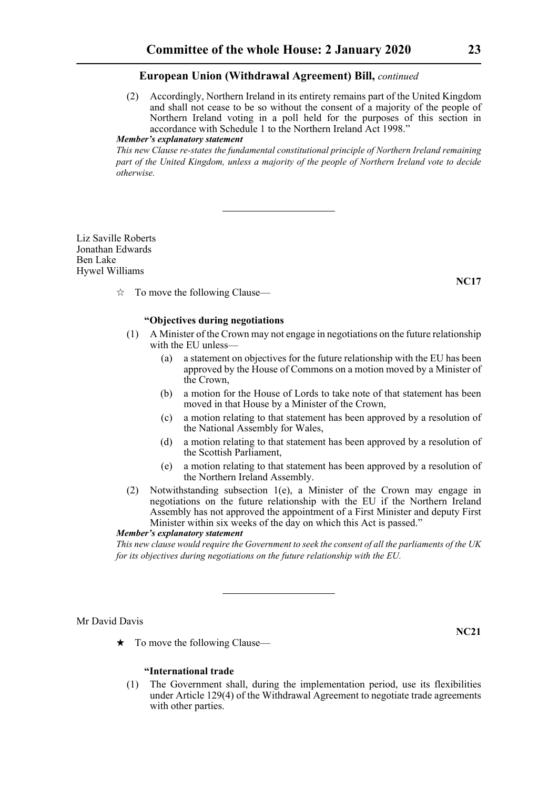(2) Accordingly, Northern Ireland in its entirety remains part of the United Kingdom and shall not cease to be so without the consent of a majority of the people of Northern Ireland voting in a poll held for the purposes of this section in accordance with Schedule 1 to the Northern Ireland Act 1998."

# *Member's explanatory statement*

*This new Clause re-states the fundamental constitutional principle of Northern Ireland remaining part of the United Kingdom, unless a majority of the people of Northern Ireland vote to decide otherwise.*

Liz Saville Roberts Jonathan Edwards Ben Lake Hywel Williams

**NC17**

 $\vec{x}$  To move the following Clause—

#### **"Objectives during negotiations**

- (1) A Minister of the Crown may not engage in negotiations on the future relationship with the EU unless-
	- (a) a statement on objectives for the future relationship with the EU has been approved by the House of Commons on a motion moved by a Minister of the Crown,
	- (b) a motion for the House of Lords to take note of that statement has been moved in that House by a Minister of the Crown,
	- (c) a motion relating to that statement has been approved by a resolution of the National Assembly for Wales,
	- (d) a motion relating to that statement has been approved by a resolution of the Scottish Parliament,
	- (e) a motion relating to that statement has been approved by a resolution of the Northern Ireland Assembly.
- (2) Notwithstanding subsection 1(e), a Minister of the Crown may engage in negotiations on the future relationship with the EU if the Northern Ireland Assembly has not approved the appointment of a First Minister and deputy First Minister within six weeks of the day on which this Act is passed."

#### *Member's explanatory statement*

*This new clause would require the Government to seek the consent of all the parliaments of the UK for its objectives during negotiations on the future relationship with the EU.*

#### Mr David Davis

**NC21**

 $\star$  To move the following Clause—

# **"International trade**

(1) The Government shall, during the implementation period, use its flexibilities under Article 129(4) of the Withdrawal Agreement to negotiate trade agreements with other parties.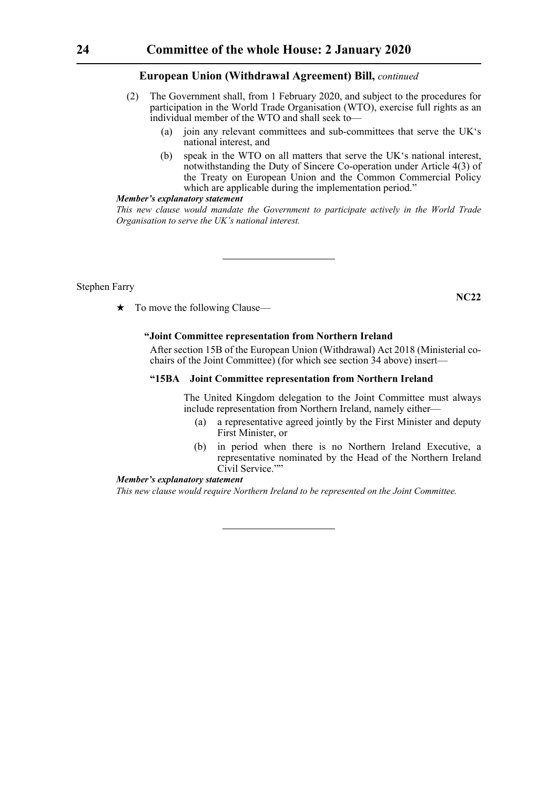- (2) The Government shall, from 1 February 2020, and subject to the procedures for participation in the World Trade Organisation (WTO), exercise full rights as an individual member of the WTO and shall seek to—
	- (a) join any relevant committees and sub-committees that serve the UK's national interest, and
	- (b) speak in the WTO on all matters that serve the UK's national interest, notwithstanding the Duty of Sincere Co-operation under Article 4(3) of the Treaty on European Union and the Common Commercial Policy which are applicable during the implementation period."

#### *Member's explanatory statement*

*This new clause would mandate the Government to participate actively in the World Trade Organisation to serve the UK's national interest.*

Stephen Farry

 $\star$  To move the following Clause—

# **"Joint Committee representation from Northern Ireland**

 After section 15B of the European Union (Withdrawal) Act 2018 (Ministerial cochairs of the Joint Committee) (for which see section 34 above) insert—

# **"15BA Joint Committee representation from Northern Ireland**

 The United Kingdom delegation to the Joint Committee must always include representation from Northern Ireland, namely either—

- (a) a representative agreed jointly by the First Minister and deputy First Minister, or
- (b) in period when there is no Northern Ireland Executive, a representative nominated by the Head of the Northern Ireland Civil Service.""

# *Member's explanatory statement*

*This new clause would require Northern Ireland to be represented on the Joint Committee.*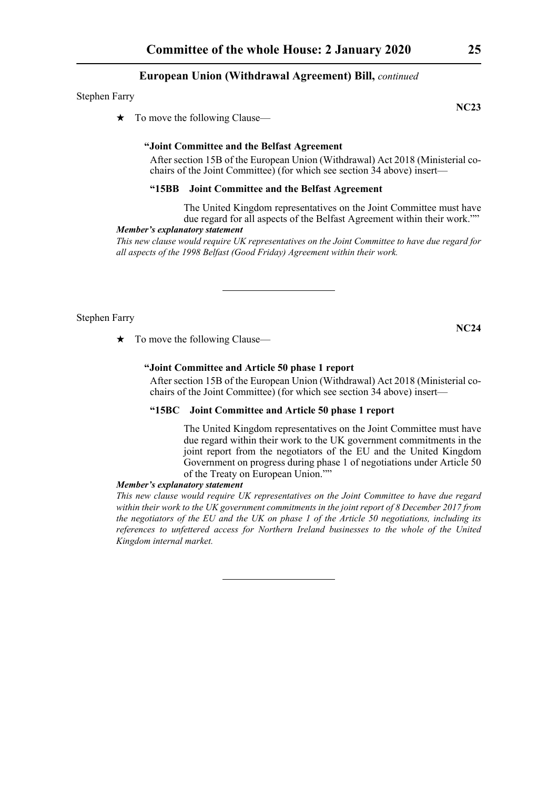#### Stephen Farry

 $\star$  To move the following Clause—

# **"Joint Committee and the Belfast Agreement**

 After section 15B of the European Union (Withdrawal) Act 2018 (Ministerial cochairs of the Joint Committee) (for which see section 34 above) insert—

# **"15BB Joint Committee and the Belfast Agreement**

 The United Kingdom representatives on the Joint Committee must have due regard for all aspects of the Belfast Agreement within their work.""

# *Member's explanatory statement*

*This new clause would require UK representatives on the Joint Committee to have due regard for all aspects of the 1998 Belfast (Good Friday) Agreement within their work.* 

Stephen Farry

 $\star$  To move the following Clause—

# **"Joint Committee and Article 50 phase 1 report**

 After section 15B of the European Union (Withdrawal) Act 2018 (Ministerial cochairs of the Joint Committee) (for which see section 34 above) insert—

# **"15BC Joint Committee and Article 50 phase 1 report**

 The United Kingdom representatives on the Joint Committee must have due regard within their work to the UK government commitments in the joint report from the negotiators of the EU and the United Kingdom Government on progress during phase 1 of negotiations under Article 50 of the Treaty on European Union.""

#### *Member's explanatory statement*

*This new clause would require UK representatives on the Joint Committee to have due regard within their work to the UK government commitments in the joint report of 8 December 2017 from the negotiators of the EU and the UK on phase 1 of the Article 50 negotiations, including its references to unfettered access for Northern Ireland businesses to the whole of the United Kingdom internal market.* 

**NC23**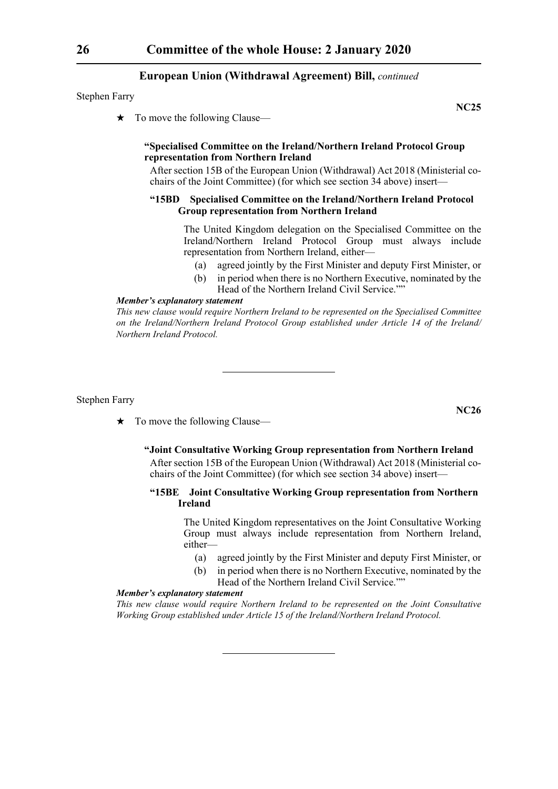Stephen Farry

To move the following Clause—

#### **"Specialised Committee on the Ireland/Northern Ireland Protocol Group representation from Northern Ireland**

 After section 15B of the European Union (Withdrawal) Act 2018 (Ministerial cochairs of the Joint Committee) (for which see section 34 above) insert—

#### **"15BD Specialised Committee on the Ireland/Northern Ireland Protocol Group representation from Northern Ireland**

 The United Kingdom delegation on the Specialised Committee on the Ireland/Northern Ireland Protocol Group must always include representation from Northern Ireland, either—

- (a) agreed jointly by the First Minister and deputy First Minister, or
- (b) in period when there is no Northern Executive, nominated by the Head of the Northern Ireland Civil Service.""

#### *Member's explanatory statement*

*This new clause would require Northern Ireland to be represented on the Specialised Committee on the Ireland/Northern Ireland Protocol Group established under Article 14 of the Ireland/ Northern Ireland Protocol.* 

Stephen Farry

- $\star$  To move the following Clause—
	- **"Joint Consultative Working Group representation from Northern Ireland**

 After section 15B of the European Union (Withdrawal) Act 2018 (Ministerial cochairs of the Joint Committee) (for which see section 34 above) insert—

# **"15BE Joint Consultative Working Group representation from Northern Ireland**

 The United Kingdom representatives on the Joint Consultative Working Group must always include representation from Northern Ireland, either—

- (a) agreed jointly by the First Minister and deputy First Minister, or
- (b) in period when there is no Northern Executive, nominated by the
	- Head of the Northern Ireland Civil Service.""

#### *Member's explanatory statement*

*This new clause would require Northern Ireland to be represented on the Joint Consultative Working Group established under Article 15 of the Ireland/Northern Ireland Protocol.*

**NC26**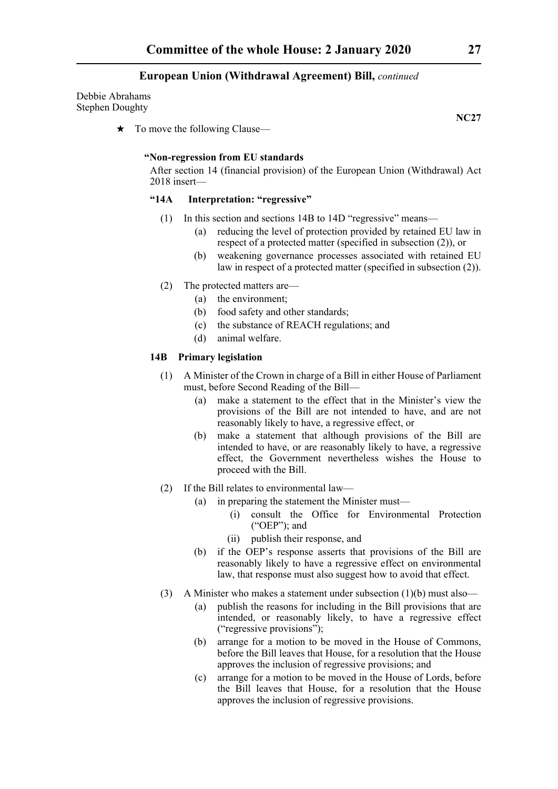Debbie Abrahams Stephen Doughty

 $\star$  To move the following Clause—

#### **"Non-regression from EU standards**

 After section 14 (financial provision) of the European Union (Withdrawal) Act 2018 insert—

# **"14A Interpretation: "regressive"**

- (1) In this section and sections 14B to 14D "regressive" means—
	- (a) reducing the level of protection provided by retained EU law in respect of a protected matter (specified in subsection (2)), or
	- (b) weakening governance processes associated with retained EU law in respect of a protected matter (specified in subsection (2)).
- (2) The protected matters are—
	- (a) the environment;
	- (b) food safety and other standards;
	- (c) the substance of REACH regulations; and
	- (d) animal welfare.

#### **14B Primary legislation**

- (1) A Minister of the Crown in charge of a Bill in either House of Parliament must, before Second Reading of the Bill—
	- (a) make a statement to the effect that in the Minister's view the provisions of the Bill are not intended to have, and are not reasonably likely to have, a regressive effect, or
	- (b) make a statement that although provisions of the Bill are intended to have, or are reasonably likely to have, a regressive effect, the Government nevertheless wishes the House to proceed with the Bill.
- (2) If the Bill relates to environmental law—
	- (a) in preparing the statement the Minister must—
		- (i) consult the Office for Environmental Protection ("OEP"); and
		- (ii) publish their response, and
	- (b) if the OEP's response asserts that provisions of the Bill are reasonably likely to have a regressive effect on environmental law, that response must also suggest how to avoid that effect.
- (3) A Minister who makes a statement under subsection  $(1)(b)$  must also—
	- (a) publish the reasons for including in the Bill provisions that are intended, or reasonably likely, to have a regressive effect ("regressive provisions");
	- (b) arrange for a motion to be moved in the House of Commons, before the Bill leaves that House, for a resolution that the House approves the inclusion of regressive provisions; and
	- (c) arrange for a motion to be moved in the House of Lords, before the Bill leaves that House, for a resolution that the House approves the inclusion of regressive provisions.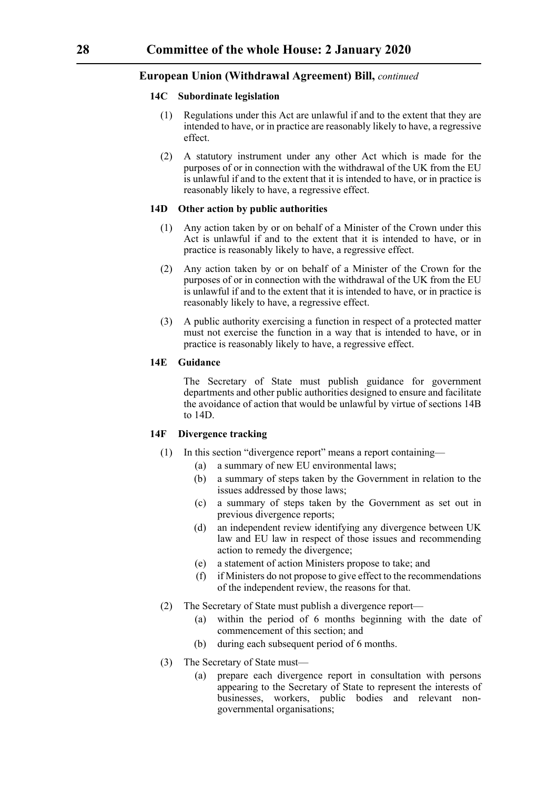# **14C Subordinate legislation**

- (1) Regulations under this Act are unlawful if and to the extent that they are intended to have, or in practice are reasonably likely to have, a regressive effect.
- (2) A statutory instrument under any other Act which is made for the purposes of or in connection with the withdrawal of the UK from the EU is unlawful if and to the extent that it is intended to have, or in practice is reasonably likely to have, a regressive effect.

# **14D Other action by public authorities**

- (1) Any action taken by or on behalf of a Minister of the Crown under this Act is unlawful if and to the extent that it is intended to have, or in practice is reasonably likely to have, a regressive effect.
- (2) Any action taken by or on behalf of a Minister of the Crown for the purposes of or in connection with the withdrawal of the UK from the EU is unlawful if and to the extent that it is intended to have, or in practice is reasonably likely to have, a regressive effect.
- (3) A public authority exercising a function in respect of a protected matter must not exercise the function in a way that is intended to have, or in practice is reasonably likely to have, a regressive effect.

# **14E Guidance**

 The Secretary of State must publish guidance for government departments and other public authorities designed to ensure and facilitate the avoidance of action that would be unlawful by virtue of sections 14B to 14D.

#### **14F Divergence tracking**

- (1) In this section "divergence report" means a report containing—
	- (a) a summary of new EU environmental laws;
	- (b) a summary of steps taken by the Government in relation to the issues addressed by those laws;
	- (c) a summary of steps taken by the Government as set out in previous divergence reports;
	- (d) an independent review identifying any divergence between UK law and EU law in respect of those issues and recommending action to remedy the divergence;
	- (e) a statement of action Ministers propose to take; and
	- (f) if Ministers do not propose to give effect to the recommendations of the independent review, the reasons for that.
- (2) The Secretary of State must publish a divergence report—
	- (a) within the period of 6 months beginning with the date of commencement of this section; and
	- (b) during each subsequent period of 6 months.
- (3) The Secretary of State must—
	- (a) prepare each divergence report in consultation with persons appearing to the Secretary of State to represent the interests of businesses, workers, public bodies and relevant nongovernmental organisations;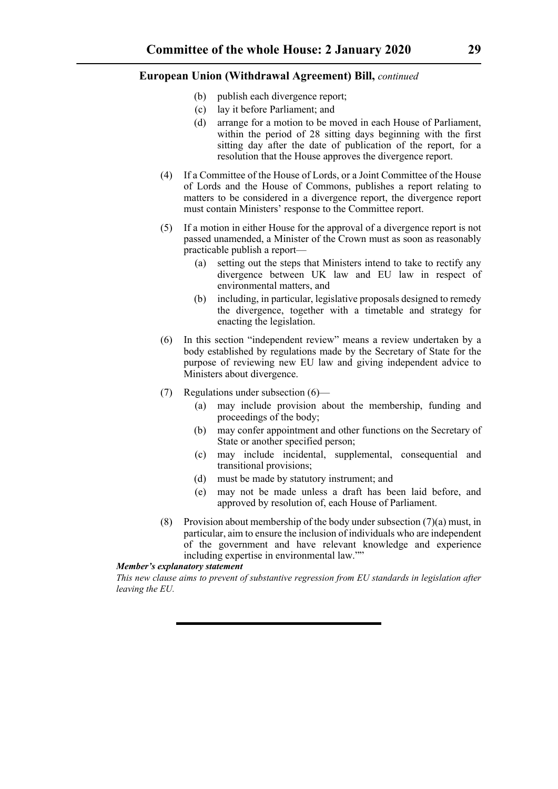- (b) publish each divergence report;
- (c) lay it before Parliament; and
- (d) arrange for a motion to be moved in each House of Parliament, within the period of 28 sitting days beginning with the first sitting day after the date of publication of the report, for a resolution that the House approves the divergence report.
- (4) If a Committee of the House of Lords, or a Joint Committee of the House of Lords and the House of Commons, publishes a report relating to matters to be considered in a divergence report, the divergence report must contain Ministers' response to the Committee report.
- (5) If a motion in either House for the approval of a divergence report is not passed unamended, a Minister of the Crown must as soon as reasonably practicable publish a report—
	- (a) setting out the steps that Ministers intend to take to rectify any divergence between UK law and EU law in respect of environmental matters, and
	- (b) including, in particular, legislative proposals designed to remedy the divergence, together with a timetable and strategy for enacting the legislation.
- (6) In this section "independent review" means a review undertaken by a body established by regulations made by the Secretary of State for the purpose of reviewing new EU law and giving independent advice to Ministers about divergence.
- (7) Regulations under subsection (6)—
	- (a) may include provision about the membership, funding and proceedings of the body;
	- (b) may confer appointment and other functions on the Secretary of State or another specified person;
	- (c) may include incidental, supplemental, consequential and transitional provisions;
	- (d) must be made by statutory instrument; and
	- (e) may not be made unless a draft has been laid before, and approved by resolution of, each House of Parliament.
- (8) Provision about membership of the body under subsection  $(7)(a)$  must, in particular, aim to ensure the inclusion of individuals who are independent of the government and have relevant knowledge and experience including expertise in environmental law.""

#### *Member's explanatory statement*

*This new clause aims to prevent of substantive regression from EU standards in legislation after leaving the EU.*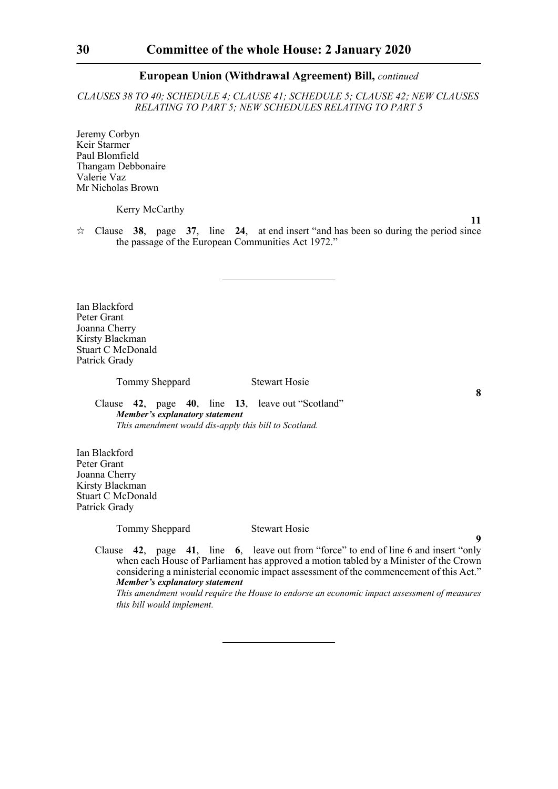*CLAUSES 38 TO 40; SCHEDULE 4; CLAUSE 41; SCHEDULE 5; CLAUSE 42; NEW CLAUSES RELATING TO PART 5; NEW SCHEDULES RELATING TO PART 5*

Jeremy Corbyn Keir Starmer Paul Blomfield Thangam Debbonaire Valerie Vaz Mr Nicholas Brown

Kerry McCarthy

**11**

**8**

**9**

 $\approx$  Clause 38, page 37, line 24, at end insert "and has been so during the period since the passage of the European Communities Act 1972."

Ian Blackford Peter Grant Joanna Cherry Kirsty Blackman Stuart C McDonald Patrick Grady

Tommy Sheppard Stewart Hosie

Clause **42**, page **40**, line **13**, leave out "Scotland" *Member's explanatory statement This amendment would dis-apply this bill to Scotland.*

Ian Blackford Peter Grant Joanna Cherry Kirsty Blackman Stuart C McDonald Patrick Grady

Tommy Sheppard Stewart Hosie

Clause **42**, page **41**, line **6**, leave out from "force" to end of line 6 and insert "only when each House of Parliament has approved a motion tabled by a Minister of the Crown considering a ministerial economic impact assessment of the commencement of this Act." *Member's explanatory statement* 

*This amendment would require the House to endorse an economic impact assessment of measures this bill would implement.*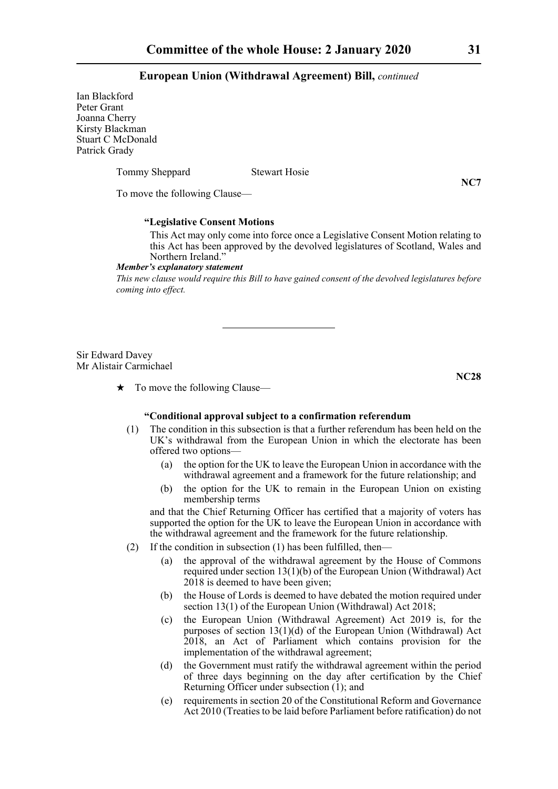Ian Blackford Peter Grant Joanna Cherry Kirsty Blackman Stuart C McDonald Patrick Grady

Tommy Sheppard Stewart Hosie

**NC7**

To move the following Clause—

# **"Legislative Consent Motions**

 This Act may only come into force once a Legislative Consent Motion relating to this Act has been approved by the devolved legislatures of Scotland, Wales and Northern Ireland."

#### *Member's explanatory statement*

*This new clause would require this Bill to have gained consent of the devolved legislatures before coming into effect.*

Sir Edward Davey Mr Alistair Carmichael

**NC28**

 $\star$  To move the following Clause—

# **"Conditional approval subject to a confirmation referendum**

- (1) The condition in this subsection is that a further referendum has been held on the UK's withdrawal from the European Union in which the electorate has been offered two options—
	- (a) the option for the UK to leave the European Union in accordance with the withdrawal agreement and a framework for the future relationship; and
	- (b) the option for the UK to remain in the European Union on existing membership terms

and that the Chief Returning Officer has certified that a majority of voters has supported the option for the UK to leave the European Union in accordance with the withdrawal agreement and the framework for the future relationship.

- (2) If the condition in subsection  $(1)$  has been fulfilled, then-
	- (a) the approval of the withdrawal agreement by the House of Commons required under section 13(1)(b) of the European Union (Withdrawal) Act 2018 is deemed to have been given;
	- (b) the House of Lords is deemed to have debated the motion required under section 13(1) of the European Union (Withdrawal) Act 2018;
	- (c) the European Union (Withdrawal Agreement) Act 2019 is, for the purposes of section  $13(1)(d)$  of the European Union (Withdrawal) Act 2018, an Act of Parliament which contains provision for the implementation of the withdrawal agreement;
	- (d) the Government must ratify the withdrawal agreement within the period of three days beginning on the day after certification by the Chief Returning Officer under subsection (1); and
	- (e) requirements in section 20 of the Constitutional Reform and Governance Act 2010 (Treaties to be laid before Parliament before ratification) do not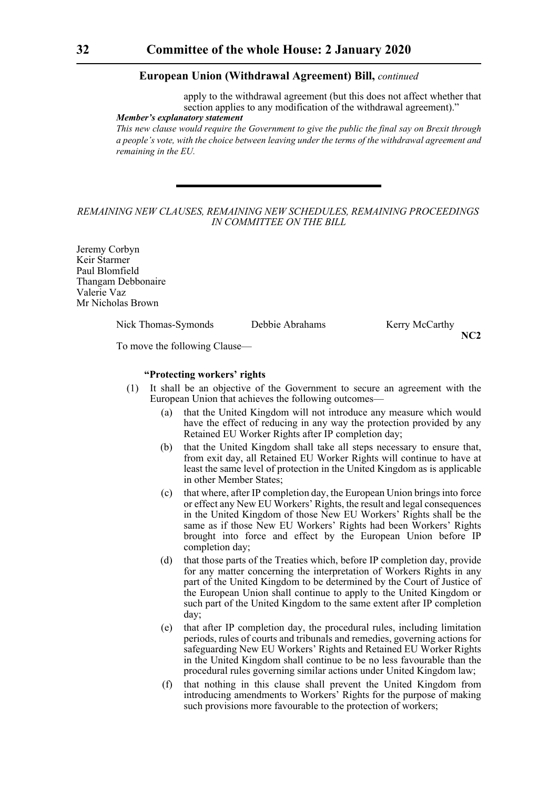apply to the withdrawal agreement (but this does not affect whether that section applies to any modification of the withdrawal agreement)."

*Member's explanatory statement* 

*This new clause would require the Government to give the public the final say on Brexit through a people's vote, with the choice between leaving under the terms of the withdrawal agreement and remaining in the EU.* 

# *REMAINING NEW CLAUSES, REMAINING NEW SCHEDULES, REMAINING PROCEEDINGS IN COMMITTEE ON THE BILL*

Jeremy Corbyn Keir Starmer Paul Blomfield Thangam Debbonaire Valerie Vaz Mr Nicholas Brown

Nick Thomas-Symonds Debbie Abrahams Kerry McCarthy

**NC2**

To move the following Clause—

# **"Protecting workers' rights**

- (1) It shall be an objective of the Government to secure an agreement with the European Union that achieves the following outcomes—
	- (a) that the United Kingdom will not introduce any measure which would have the effect of reducing in any way the protection provided by any Retained EU Worker Rights after IP completion day;
	- (b) that the United Kingdom shall take all steps necessary to ensure that, from exit day, all Retained EU Worker Rights will continue to have at least the same level of protection in the United Kingdom as is applicable in other Member States;
	- (c) that where, after IP completion day, the European Union brings into force or effect any New EU Workers' Rights, the result and legal consequences in the United Kingdom of those New EU Workers' Rights shall be the same as if those New EU Workers' Rights had been Workers' Rights brought into force and effect by the European Union before IP completion day;
	- (d) that those parts of the Treaties which, before IP completion day, provide for any matter concerning the interpretation of Workers Rights in any part of the United Kingdom to be determined by the Court of Justice of the European Union shall continue to apply to the United Kingdom or such part of the United Kingdom to the same extent after IP completion day;
	- (e) that after IP completion day, the procedural rules, including limitation periods, rules of courts and tribunals and remedies, governing actions for safeguarding New EU Workers' Rights and Retained EU Worker Rights in the United Kingdom shall continue to be no less favourable than the procedural rules governing similar actions under United Kingdom law;
	- (f) that nothing in this clause shall prevent the United Kingdom from introducing amendments to Workers' Rights for the purpose of making such provisions more favourable to the protection of workers;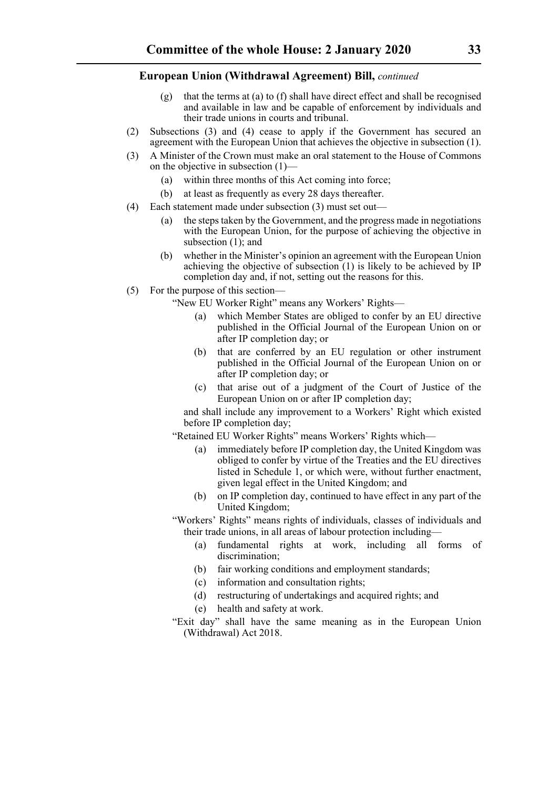- (g) that the terms at (a) to (f) shall have direct effect and shall be recognised and available in law and be capable of enforcement by individuals and their trade unions in courts and tribunal.
- (2) Subsections (3) and (4) cease to apply if the Government has secured an agreement with the European Union that achieves the objective in subsection (1).
- (3) A Minister of the Crown must make an oral statement to the House of Commons on the objective in subsection (1)—
	- (a) within three months of this Act coming into force;
	- (b) at least as frequently as every 28 days thereafter.
- (4) Each statement made under subsection (3) must set out—
	- (a) the steps taken by the Government, and the progress made in negotiations with the European Union, for the purpose of achieving the objective in subsection (1); and
	- (b) whether in the Minister's opinion an agreement with the European Union achieving the objective of subsection  $(1)$  is likely to be achieved by IP completion day and, if not, setting out the reasons for this.
- (5) For the purpose of this section—

"New EU Worker Right" means any Workers' Rights—

- (a) which Member States are obliged to confer by an EU directive published in the Official Journal of the European Union on or after IP completion day; or
- (b) that are conferred by an EU regulation or other instrument published in the Official Journal of the European Union on or after IP completion day; or
- (c) that arise out of a judgment of the Court of Justice of the European Union on or after IP completion day;

and shall include any improvement to a Workers' Right which existed before IP completion day;

"Retained EU Worker Rights" means Workers' Rights which—

- (a) immediately before IP completion day, the United Kingdom was obliged to confer by virtue of the Treaties and the EU directives listed in Schedule 1, or which were, without further enactment, given legal effect in the United Kingdom; and
- (b) on IP completion day, continued to have effect in any part of the United Kingdom;
- "Workers' Rights" means rights of individuals, classes of individuals and their trade unions, in all areas of labour protection including—
	- (a) fundamental rights at work, including all forms of discrimination;
	- (b) fair working conditions and employment standards;
	- (c) information and consultation rights;
	- (d) restructuring of undertakings and acquired rights; and
	- (e) health and safety at work.
- "Exit day" shall have the same meaning as in the European Union (Withdrawal) Act 2018.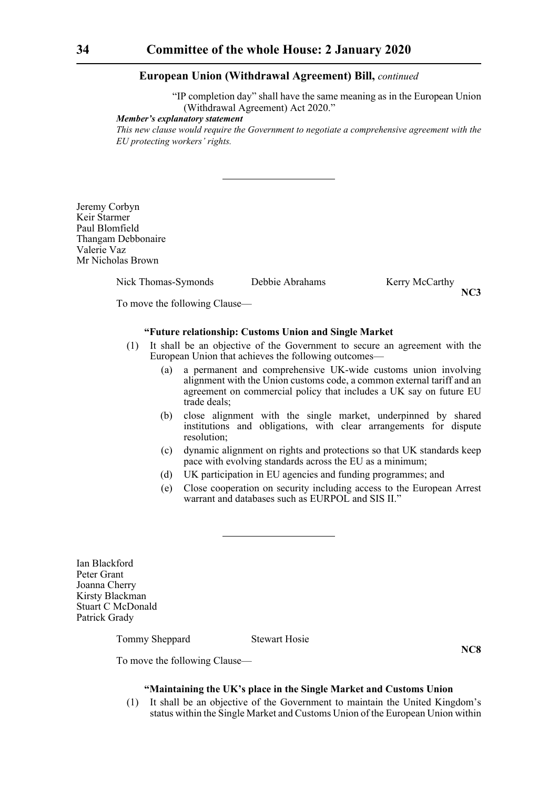"IP completion day" shall have the same meaning as in the European Union (Withdrawal Agreement) Act 2020."

*Member's explanatory statement* 

*This new clause would require the Government to negotiate a comprehensive agreement with the EU protecting workers' rights.*

Jeremy Corbyn Keir Starmer Paul Blomfield Thangam Debbonaire Valerie Vaz Mr Nicholas Brown

Nick Thomas-Symonds Debbie Abrahams Kerry McCarthy

**NC3**

To move the following Clause—

# **"Future relationship: Customs Union and Single Market**

- (1) It shall be an objective of the Government to secure an agreement with the European Union that achieves the following outcomes—
	- (a) a permanent and comprehensive UK-wide customs union involving alignment with the Union customs code, a common external tariff and an agreement on commercial policy that includes a UK say on future EU trade deals;
	- (b) close alignment with the single market, underpinned by shared institutions and obligations, with clear arrangements for dispute resolution;
	- (c) dynamic alignment on rights and protections so that UK standards keep pace with evolving standards across the EU as a minimum;
	- (d) UK participation in EU agencies and funding programmes; and
	- (e) Close cooperation on security including access to the European Arrest warrant and databases such as EURPOL and SIS II."

Ian Blackford Peter Grant Joanna Cherry Kirsty Blackman Stuart C McDonald Patrick Grady

Tommy Sheppard Stewart Hosie

**NC8**

To move the following Clause—

# **"Maintaining the UK's place in the Single Market and Customs Union**

(1) It shall be an objective of the Government to maintain the United Kingdom's status within the Single Market and Customs Union of the European Union within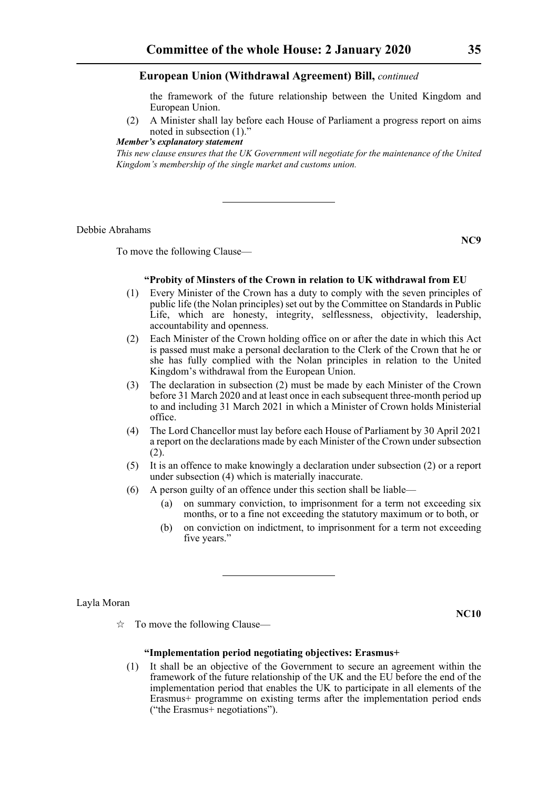the framework of the future relationship between the United Kingdom and European Union.

(2) A Minister shall lay before each House of Parliament a progress report on aims noted in subsection (1).

*Member's explanatory statement* 

*This new clause ensures that the UK Government will negotiate for the maintenance of the United Kingdom's membership of the single market and customs union.*

Debbie Abrahams

To move the following Clause—

**NC9**

# **"Probity of Minsters of the Crown in relation to UK withdrawal from EU**

- (1) Every Minister of the Crown has a duty to comply with the seven principles of public life (the Nolan principles) set out by the Committee on Standards in Public Life, which are honesty, integrity, selflessness, objectivity, leadership, accountability and openness.
- (2) Each Minister of the Crown holding office on or after the date in which this Act is passed must make a personal declaration to the Clerk of the Crown that he or she has fully complied with the Nolan principles in relation to the United Kingdom's withdrawal from the European Union.
- (3) The declaration in subsection (2) must be made by each Minister of the Crown before 31 March 2020 and at least once in each subsequent three-month period up to and including 31 March 2021 in which a Minister of Crown holds Ministerial office.
- (4) The Lord Chancellor must lay before each House of Parliament by 30 April 2021 a report on the declarations made by each Minister of the Crown under subsection (2).
- (5) It is an offence to make knowingly a declaration under subsection (2) or a report under subsection (4) which is materially inaccurate.
- (6) A person guilty of an offence under this section shall be liable—
	- (a) on summary conviction, to imprisonment for a term not exceeding six months, or to a fine not exceeding the statutory maximum or to both, or
	- (b) on conviction on indictment, to imprisonment for a term not exceeding five years."

Layla Moran

**NC10**

 $\vec{\mathcal{R}}$  To move the following Clause—

# **"Implementation period negotiating objectives: Erasmus+**

(1) It shall be an objective of the Government to secure an agreement within the framework of the future relationship of the UK and the EU before the end of the implementation period that enables the UK to participate in all elements of the Erasmus+ programme on existing terms after the implementation period ends ("the Erasmus+ negotiations").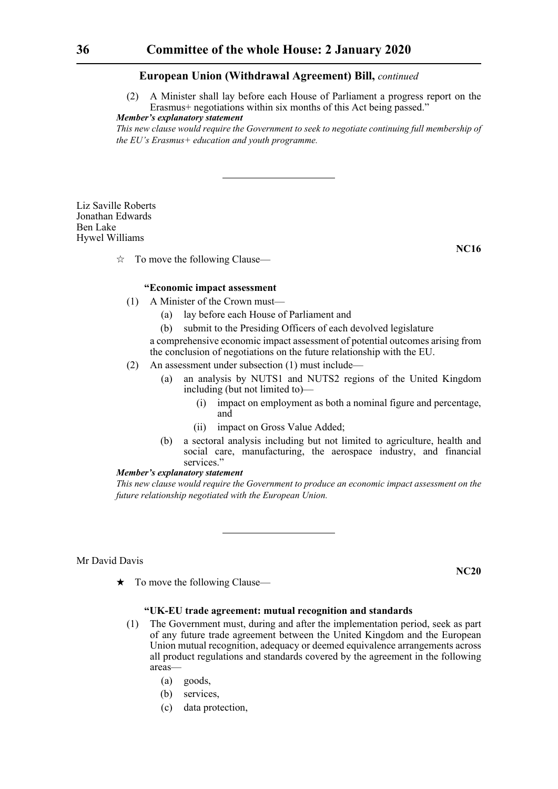(2) A Minister shall lay before each House of Parliament a progress report on the Erasmus+ negotiations within six months of this Act being passed."

*Member's explanatory statement* 

*This new clause would require the Government to seek to negotiate continuing full membership of the EU's Erasmus+ education and youth programme.*

Liz Saville Roberts Jonathan Edwards Ben Lake Hywel Williams

**NC16**

 $\hat{\mathbb{X}}$  To move the following Clause—

# **"Economic impact assessment**

- (1) A Minister of the Crown must—
	- (a) lay before each House of Parliament and
	- (b) submit to the Presiding Officers of each devolved legislature

a comprehensive economic impact assessment of potential outcomes arising from the conclusion of negotiations on the future relationship with the EU.

- (2) An assessment under subsection (1) must include—
	- (a) an analysis by NUTS1 and NUTS2 regions of the United Kingdom including (but not limited to)—
		- (i) impact on employment as both a nominal figure and percentage, and
		- (ii) impact on Gross Value Added;
	- (b) a sectoral analysis including but not limited to agriculture, health and social care, manufacturing, the aerospace industry, and financial services."

#### *Member's explanatory statement*

*This new clause would require the Government to produce an economic impact assessment on the future relationship negotiated with the European Union.*

Mr David Davis

**NC20**

 $\star$  To move the following Clause—

# **"UK-EU trade agreement: mutual recognition and standards**

- (1) The Government must, during and after the implementation period, seek as part of any future trade agreement between the United Kingdom and the European Union mutual recognition, adequacy or deemed equivalence arrangements across all product regulations and standards covered by the agreement in the following areas—
	- (a) goods,
	- (b) services,
	- (c) data protection,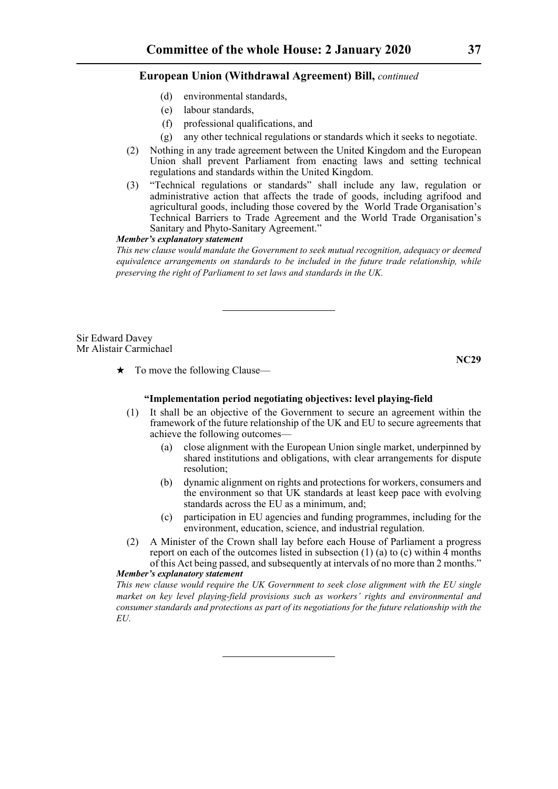- (d) environmental standards,
- (e) labour standards,
- (f) professional qualifications, and
- (g) any other technical regulations or standards which it seeks to negotiate.
- (2) Nothing in any trade agreement between the United Kingdom and the European Union shall prevent Parliament from enacting laws and setting technical regulations and standards within the United Kingdom.
- (3) "Technical regulations or standards" shall include any law, regulation or administrative action that affects the trade of goods, including agrifood and agricultural goods, including those covered by the World Trade Organisation's Technical Barriers to Trade Agreement and the World Trade Organisation's Sanitary and Phyto-Sanitary Agreement."

# *Member's explanatory statement*

*This new clause would mandate the Government to seek mutual recognition, adequacy or deemed equivalence arrangements on standards to be included in the future trade relationship, while preserving the right of Parliament to set laws and standards in the UK.*

Sir Edward Davey Mr Alistair Carmichael

 $\star$  To move the following Clause—

**NC29**

# **"Implementation period negotiating objectives: level playing-field**

- (1) It shall be an objective of the Government to secure an agreement within the framework of the future relationship of the UK and EU to secure agreements that achieve the following outcomes—
	- (a) close alignment with the European Union single market, underpinned by shared institutions and obligations, with clear arrangements for dispute resolution;
	- (b) dynamic alignment on rights and protections for workers, consumers and the environment so that UK standards at least keep pace with evolving standards across the EU as a minimum, and;
	- (c) participation in EU agencies and funding programmes, including for the environment, education, science, and industrial regulation.
- (2) A Minister of the Crown shall lay before each House of Parliament a progress report on each of the outcomes listed in subsection  $(1)$   $(a)$  to  $(c)$  within  $\overline{4}$  months of this Act being passed, and subsequently at intervals of no more than 2 months."

# *Member's explanatory statement*

*This new clause would require the UK Government to seek close alignment with the EU single market on key level playing-field provisions such as workers' rights and environmental and consumer standards and protections as part of its negotiations for the future relationship with the EU.*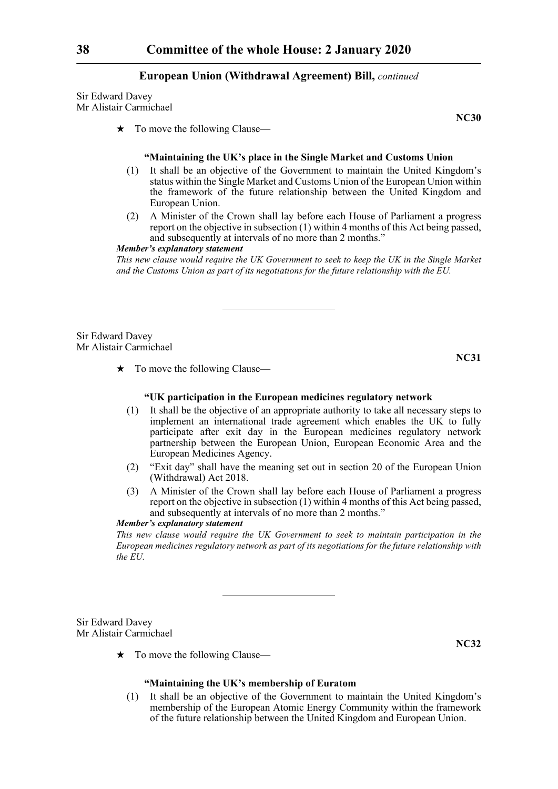Sir Edward Davey Mr Alistair Carmichael

 $\star$  To move the following Clause—

#### **"Maintaining the UK's place in the Single Market and Customs Union**

- (1) It shall be an objective of the Government to maintain the United Kingdom's status within the Single Market and Customs Union of the European Union within the framework of the future relationship between the United Kingdom and European Union.
- (2) A Minister of the Crown shall lay before each House of Parliament a progress report on the objective in subsection (1) within 4 months of this Act being passed, and subsequently at intervals of no more than 2 months."

#### *Member's explanatory statement*

*This new clause would require the UK Government to seek to keep the UK in the Single Market and the Customs Union as part of its negotiations for the future relationship with the EU.* 

Sir Edward Davey Mr Alistair Carmichael

 $\star$  To move the following Clause—

**NC31**

# **"UK participation in the European medicines regulatory network**

- (1) It shall be the objective of an appropriate authority to take all necessary steps to implement an international trade agreement which enables the UK to fully participate after exit day in the European medicines regulatory network partnership between the European Union, European Economic Area and the European Medicines Agency.
- (2) "Exit day" shall have the meaning set out in section 20 of the European Union (Withdrawal) Act 2018.
- (3) A Minister of the Crown shall lay before each House of Parliament a progress report on the objective in subsection (1) within 4 months of this Act being passed, and subsequently at intervals of no more than 2 months."

*Member's explanatory statement* 

*This new clause would require the UK Government to seek to maintain participation in the European medicines regulatory network as part of its negotiations for the future relationship with the EU.* 

Sir Edward Davey Mr Alistair Carmichael

 $\star$  To move the following Clause—

**NC32**

#### **"Maintaining the UK's membership of Euratom**

(1) It shall be an objective of the Government to maintain the United Kingdom's membership of the European Atomic Energy Community within the framework of the future relationship between the United Kingdom and European Union.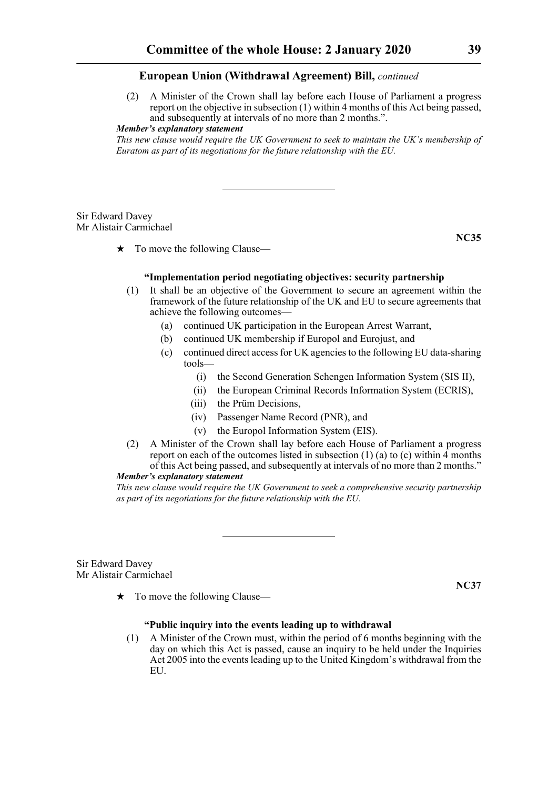(2) A Minister of the Crown shall lay before each House of Parliament a progress report on the objective in subsection (1) within 4 months of this Act being passed, and subsequently at intervals of no more than 2 months.".

*Member's explanatory statement* 

*This new clause would require the UK Government to seek to maintain the UK's membership of Euratom as part of its negotiations for the future relationship with the EU.* 

# Sir Edward Davey Mr Alistair Carmichael

**NC35**

# $\star$  To move the following Clause—

# **"Implementation period negotiating objectives: security partnership**

- (1) It shall be an objective of the Government to secure an agreement within the framework of the future relationship of the UK and EU to secure agreements that achieve the following outcomes—
	- (a) continued UK participation in the European Arrest Warrant,
	- (b) continued UK membership if Europol and Eurojust, and
	- (c) continued direct access for UK agencies to the following EU data-sharing tools—
		- (i) the Second Generation Schengen Information System (SIS II),
		- (ii) the European Criminal Records Information System (ECRIS),
		- (iii) the Prüm Decisions,
		- (iv) Passenger Name Record (PNR), and
		- (v) the Europol Information System (EIS).
- (2) A Minister of the Crown shall lay before each House of Parliament a progress report on each of the outcomes listed in subsection  $(1)$  (a) to (c) within  $\overline{4}$  months of this Act being passed, and subsequently at intervals of no more than 2 months."

#### *Member's explanatory statement*

*This new clause would require the UK Government to seek a comprehensive security partnership as part of its negotiations for the future relationship with the EU.*

Sir Edward Davey Mr Alistair Carmichael

**NC37**

 $\star$  To move the following Clause—

# **"Public inquiry into the events leading up to withdrawal**

(1) A Minister of the Crown must, within the period of 6 months beginning with the day on which this Act is passed, cause an inquiry to be held under the Inquiries Act 2005 into the events leading up to the United Kingdom's withdrawal from the EU.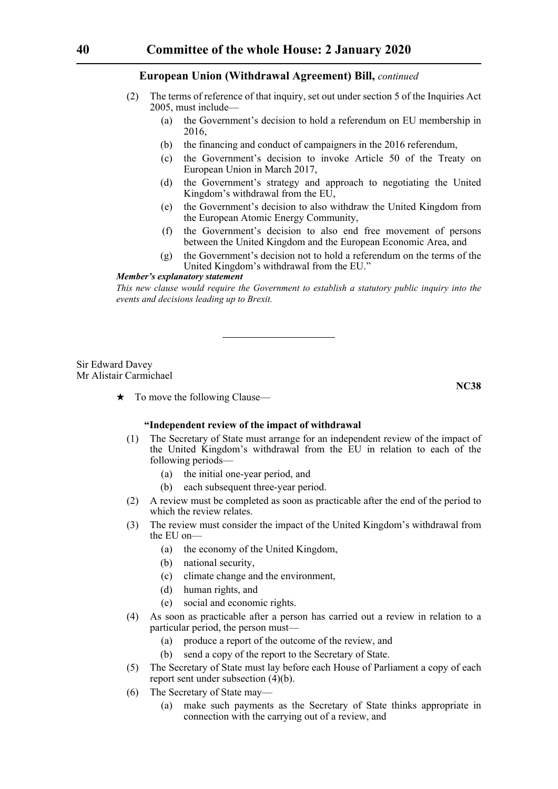- (2) The terms of reference of that inquiry, set out under section 5 of the Inquiries Act 2005, must include—
	- (a) the Government's decision to hold a referendum on EU membership in 2016,
	- (b) the financing and conduct of campaigners in the 2016 referendum,
	- (c) the Government's decision to invoke Article 50 of the Treaty on European Union in March 2017,
	- (d) the Government's strategy and approach to negotiating the United Kingdom's withdrawal from the EU,
	- (e) the Government's decision to also withdraw the United Kingdom from the European Atomic Energy Community,
	- (f) the Government's decision to also end free movement of persons between the United Kingdom and the European Economic Area, and
	- (g) the Government's decision not to hold a referendum on the terms of the United Kingdom's withdrawal from the EU."

#### *Member's explanatory statement*

*This new clause would require the Government to establish a statutory public inquiry into the events and decisions leading up to Brexit.*

#### Sir Edward Davey Mr Alistair Carmichael

**NC38**

 $\star$  To move the following Clause—

# **"Independent review of the impact of withdrawal**

- (1) The Secretary of State must arrange for an independent review of the impact of the United Kingdom's withdrawal from the EU in relation to each of the following periods—
	- (a) the initial one-year period, and
	- (b) each subsequent three-year period.
- (2) A review must be completed as soon as practicable after the end of the period to which the review relates.
- (3) The review must consider the impact of the United Kingdom's withdrawal from the EU on—
	- (a) the economy of the United Kingdom,
	- (b) national security,
	- (c) climate change and the environment,
	- (d) human rights, and
	- (e) social and economic rights.
- (4) As soon as practicable after a person has carried out a review in relation to a particular period, the person must—
	- (a) produce a report of the outcome of the review, and
	- (b) send a copy of the report to the Secretary of State.
- (5) The Secretary of State must lay before each House of Parliament a copy of each report sent under subsection (4)(b).
- (6) The Secretary of State may—
	- (a) make such payments as the Secretary of State thinks appropriate in connection with the carrying out of a review, and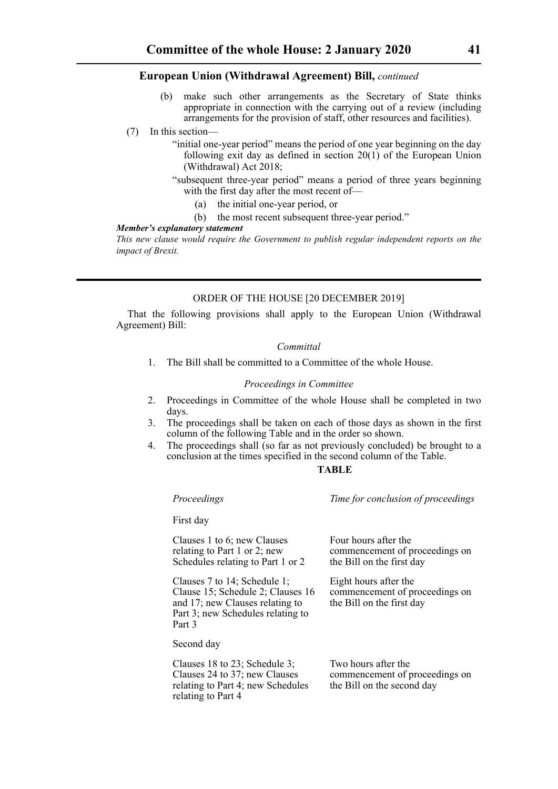make such other arrangements as the Secretary of State thinks appropriate in connection with the carrying out of a review (including arrangements for the provision of staff, other resources and facilities).

# (7) In this section—

- "initial one-year period" means the period of one year beginning on the day following exit day as defined in section 20(1) of the European Union (Withdrawal) Act 2018;
- "subsequent three-year period" means a period of three years beginning with the first day after the most recent of—
	- (a) the initial one-year period, or
	- (b) the most recent subsequent three-year period."

#### *Member's explanatory statement*

*This new clause would require the Government to publish regular independent reports on the impact of Brexit.*

# ORDER OF THE HOUSE [20 DECEMBER 2019]

That the following provisions shall apply to the European Union (Withdrawal Agreement) Bill:

#### *Committal*

1. The Bill shall be committed to a Committee of the whole House.

## *Proceedings in Committee*

- 2. Proceedings in Committee of the whole House shall be completed in two days.
- 3. The proceedings shall be taken on each of those days as shown in the first column of the following Table and in the order so shown.
- 4. The proceedings shall (so far as not previously concluded) be brought to a conclusion at the times specified in the second column of the Table.

#### **TABLE**

*Proceedings Time for conclusion of proceedings*

commencement of proceedings on

commencement of proceedings on

Four hours after the

the Bill on the first day

the Bill on the first day

Eight hours after the

First day

Clauses 1 to 6; new Clauses relating to Part 1 or 2; new Schedules relating to Part 1 or 2

Clauses 7 to 14; Schedule 1; Clause 15; Schedule 2; Clauses 16 and 17; new Clauses relating to Part 3; new Schedules relating to Part 3

Second day

Clauses 18 to 23; Schedule 3; Clauses 24 to 37; new Clauses relating to Part 4; new Schedules relating to Part 4 Two hours after the commencement of proceedings on the Bill on the second day